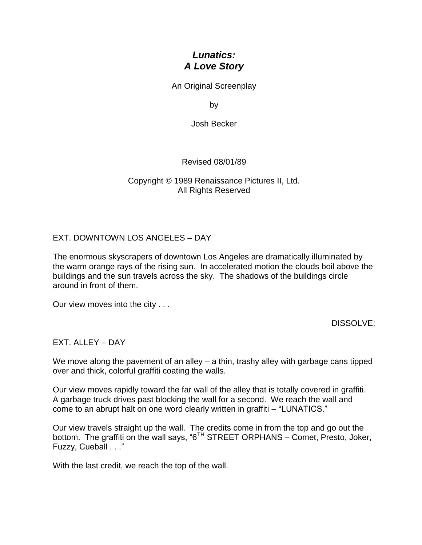# *Lunatics: A Love Story*

An Original Screenplay

by

Josh Becker

Revised 08/01/89

Copyright © 1989 Renaissance Pictures II, Ltd. All Rights Reserved

# EXT. DOWNTOWN LOS ANGELES – DAY

The enormous skyscrapers of downtown Los Angeles are dramatically illuminated by the warm orange rays of the rising sun. In accelerated motion the clouds boil above the buildings and the sun travels across the sky. The shadows of the buildings circle around in front of them.

Our view moves into the city . . .

DISSOLVE:

# EXT. ALLEY – DAY

We move along the pavement of an alley – a thin, trashy alley with garbage cans tipped over and thick, colorful graffiti coating the walls.

Our view moves rapidly toward the far wall of the alley that is totally covered in graffiti. A garbage truck drives past blocking the wall for a second. We reach the wall and come to an abrupt halt on one word clearly written in graffiti – "LUNATICS."

Our view travels straight up the wall. The credits come in from the top and go out the bottom. The graffiti on the wall says, "6<sup>TH</sup> STREET ORPHANS – Comet, Presto, Joker, Fuzzy, Cueball . . ."

With the last credit, we reach the top of the wall.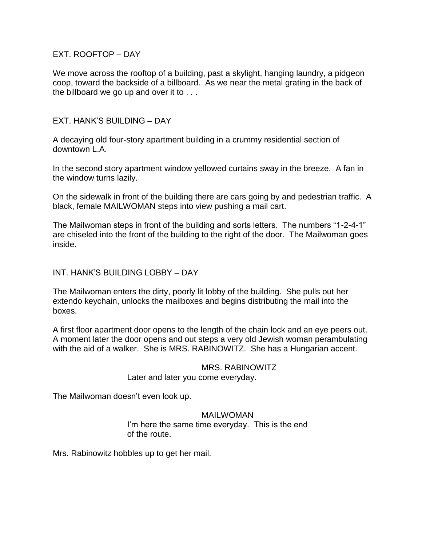## EXT. ROOFTOP – DAY

We move across the rooftop of a building, past a skylight, hanging laundry, a pidgeon coop, toward the backside of a billboard. As we near the metal grating in the back of the billboard we go up and over it to . . .

# EXT. HANK'S BUILDING – DAY

A decaying old four-story apartment building in a crummy residential section of downtown L.A.

In the second story apartment window yellowed curtains sway in the breeze. A fan in the window turns lazily.

On the sidewalk in front of the building there are cars going by and pedestrian traffic. A black, female MAILWOMAN steps into view pushing a mail cart.

The Mailwoman steps in front of the building and sorts letters. The numbers "1-2-4-1" are chiseled into the front of the building to the right of the door. The Mailwoman goes inside.

## INT. HANK'S BUILDING LOBBY – DAY

The Mailwoman enters the dirty, poorly lit lobby of the building. She pulls out her extendo keychain, unlocks the mailboxes and begins distributing the mail into the boxes.

A first floor apartment door opens to the length of the chain lock and an eye peers out. A moment later the door opens and out steps a very old Jewish woman perambulating with the aid of a walker. She is MRS. RABINOWITZ. She has a Hungarian accent.

## MRS. RABINOWITZ

Later and later you come everyday.

The Mailwoman doesn't even look up.

#### MAILWOMAN

I'm here the same time everyday. This is the end of the route.

Mrs. Rabinowitz hobbles up to get her mail.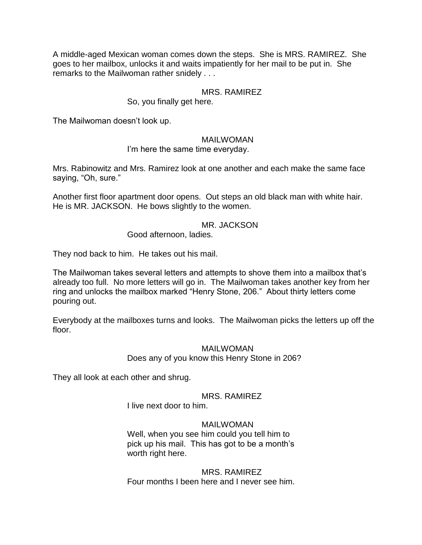A middle-aged Mexican woman comes down the steps. She is MRS. RAMIREZ. She goes to her mailbox, unlocks it and waits impatiently for her mail to be put in. She remarks to the Mailwoman rather snidely . . .

## MRS. RAMIREZ

So, you finally get here.

The Mailwoman doesn't look up.

#### MAILWOMAN

I'm here the same time everyday.

Mrs. Rabinowitz and Mrs. Ramirez look at one another and each make the same face saying, "Oh, sure."

Another first floor apartment door opens. Out steps an old black man with white hair. He is MR. JACKSON. He bows slightly to the women.

#### MR. JACKSON

Good afternoon, ladies.

They nod back to him. He takes out his mail.

The Mailwoman takes several letters and attempts to shove them into a mailbox that's already too full. No more letters will go in. The Mailwoman takes another key from her ring and unlocks the mailbox marked "Henry Stone, 206." About thirty letters come pouring out.

Everybody at the mailboxes turns and looks. The Mailwoman picks the letters up off the floor.

## MAILWOMAN

Does any of you know this Henry Stone in 206?

They all look at each other and shrug.

## MRS. RAMIREZ

I live next door to him.

## MAILWOMAN

Well, when you see him could you tell him to pick up his mail. This has got to be a month's worth right here.

MRS. RAMIREZ Four months I been here and I never see him.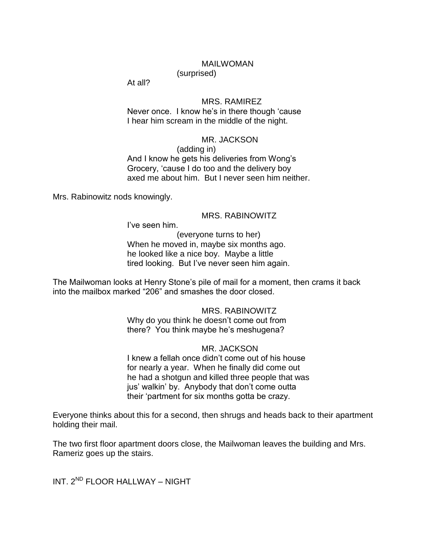#### MAILWOMAN

(surprised)

At all?

#### MRS. RAMIREZ

Never once. I know he's in there though 'cause I hear him scream in the middle of the night.

# MR. JACKSON

(adding in) And I know he gets his deliveries from Wong's Grocery, ‗cause I do too and the delivery boy axed me about him. But I never seen him neither.

Mrs. Rabinowitz nods knowingly.

## MRS. RABINOWITZ

I've seen him.

(everyone turns to her) When he moved in, maybe six months ago. he looked like a nice boy. Maybe a little tired looking. But I've never seen him again.

The Mailwoman looks at Henry Stone's pile of mail for a moment, then crams it back into the mailbox marked "206" and smashes the door closed.

#### MRS. RABINOWITZ

Why do you think he doesn't come out from there? You think maybe he's meshugena?

# MR. JACKSON

I knew a fellah once didn't come out of his house for nearly a year. When he finally did come out he had a shotgun and killed three people that was jus' walkin' by. Anybody that don't come outta their 'partment for six months gotta be crazy.

Everyone thinks about this for a second, then shrugs and heads back to their apartment holding their mail.

The two first floor apartment doors close, the Mailwoman leaves the building and Mrs. Rameriz goes up the stairs.

INT. 2ND FLOOR HALLWAY – NIGHT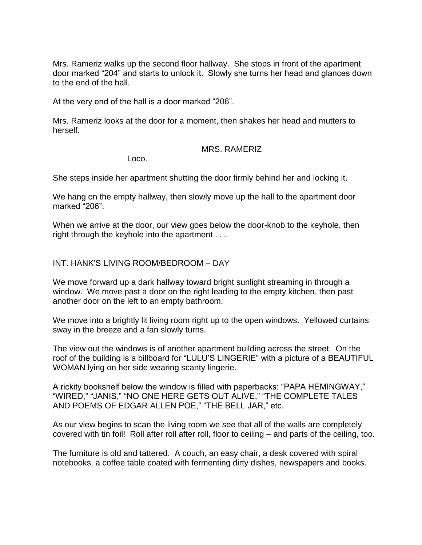Mrs. Rameriz walks up the second floor hallway. She stops in front of the apartment door marked "204" and starts to unlock it. Slowly she turns her head and glances down to the end of the hall.

At the very end of the hall is a door marked "206".

Mrs. Rameriz looks at the door for a moment, then shakes her head and mutters to herself.

## MRS. RAMERIZ

Loco.

She steps inside her apartment shutting the door firmly behind her and locking it.

We hang on the empty hallway, then slowly move up the hall to the apartment door marked "206".

When we arrive at the door, our view goes below the door-knob to the keyhole, then right through the keyhole into the apartment . . .

INT. HANK'S LIVING ROOM/BEDROOM – DAY

We move forward up a dark hallway toward bright sunlight streaming in through a window. We move past a door on the right leading to the empty kitchen, then past another door on the left to an empty bathroom.

We move into a brightly lit living room right up to the open windows. Yellowed curtains sway in the breeze and a fan slowly turns.

The view out the windows is of another apartment building across the street. On the roof of the building is a billboard for "LULU'S LINGERIE" with a picture of a BEAUTIFUL WOMAN lying on her side wearing scanty lingerie.

A rickity bookshelf below the window is filled with paperbacks: "PAPA HEMINGWAY." "WIRED," "JANIS," "NO ONE HERE GETS OUT ALIVE," "THE COMPLETE TALES AND POEMS OF EDGAR ALLEN POE," "THE BELL JAR," etc.

As our view begins to scan the living room we see that all of the walls are completely covered with tin foil! Roll after roll after roll, floor to ceiling – and parts of the ceiling, too.

The furniture is old and tattered. A couch, an easy chair, a desk covered with spiral notebooks, a coffee table coated with fermenting dirty dishes, newspapers and books.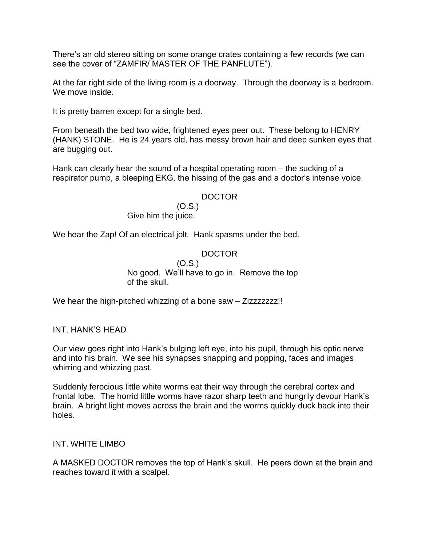There's an old stereo sitting on some orange crates containing a few records (we can see the cover of "ZAMFIR/ MASTER OF THE PANFLUTE").

At the far right side of the living room is a doorway. Through the doorway is a bedroom. We move inside.

It is pretty barren except for a single bed.

From beneath the bed two wide, frightened eyes peer out. These belong to HENRY (HANK) STONE. He is 24 years old, has messy brown hair and deep sunken eyes that are bugging out.

Hank can clearly hear the sound of a hospital operating room – the sucking of a respirator pump, a bleeping EKG, the hissing of the gas and a doctor's intense voice.

## DOCTOR

(O.S.) Give him the juice.

We hear the Zap! Of an electrical jolt. Hank spasms under the bed.

# DOCTOR

(O.S.) No good. We'll have to go in. Remove the top of the skull.

We hear the high-pitched whizzing of a bone saw – Zizzzzzzz!!

INT. HANK'S HEAD

Our view goes right into Hank's bulging left eye, into his pupil, through his optic nerve and into his brain. We see his synapses snapping and popping, faces and images whirring and whizzing past.

Suddenly ferocious little white worms eat their way through the cerebral cortex and frontal lobe. The horrid little worms have razor sharp teeth and hungrily devour Hank's brain. A bright light moves across the brain and the worms quickly duck back into their holes.

INT. WHITE LIMBO

A MASKED DOCTOR removes the top of Hank's skull. He peers down at the brain and reaches toward it with a scalpel.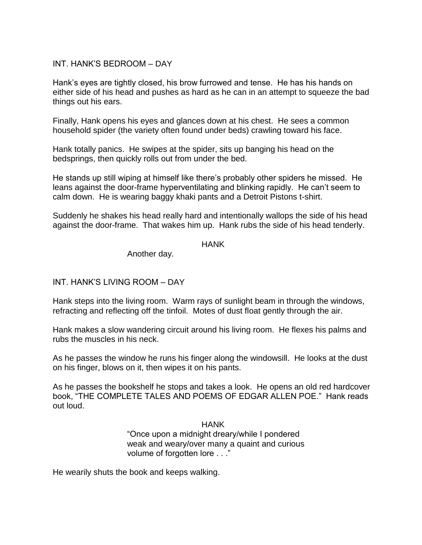# INT. HANK'S BEDROOM – DAY

Hank's eyes are tightly closed, his brow furrowed and tense. He has his hands on either side of his head and pushes as hard as he can in an attempt to squeeze the bad things out his ears.

Finally, Hank opens his eyes and glances down at his chest. He sees a common household spider (the variety often found under beds) crawling toward his face.

Hank totally panics. He swipes at the spider, sits up banging his head on the bedsprings, then quickly rolls out from under the bed.

He stands up still wiping at himself like there's probably other spiders he missed. He leans against the door-frame hyperventilating and blinking rapidly. He can't seem to calm down. He is wearing baggy khaki pants and a Detroit Pistons t-shirt.

Suddenly he shakes his head really hard and intentionally wallops the side of his head against the door-frame. That wakes him up. Hank rubs the side of his head tenderly.

## HANK

Another day.

# INT. HANK'S LIVING ROOM – DAY

Hank steps into the living room. Warm rays of sunlight beam in through the windows, refracting and reflecting off the tinfoil. Motes of dust float gently through the air.

Hank makes a slow wandering circuit around his living room. He flexes his palms and rubs the muscles in his neck.

As he passes the window he runs his finger along the windowsill. He looks at the dust on his finger, blows on it, then wipes it on his pants.

As he passes the bookshelf he stops and takes a look. He opens an old red hardcover book, "THE COMPLETE TALES AND POEMS OF EDGAR ALLEN POE." Hank reads out loud.

> HANK ―Once upon a midnight dreary/while I pondered weak and weary/over many a quaint and curious volume of forgotten lore . . ."

He wearily shuts the book and keeps walking.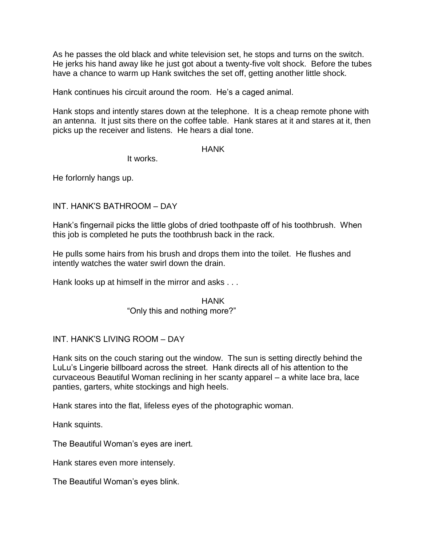As he passes the old black and white television set, he stops and turns on the switch. He jerks his hand away like he just got about a twenty-five volt shock. Before the tubes have a chance to warm up Hank switches the set off, getting another little shock.

Hank continues his circuit around the room. He's a caged animal.

Hank stops and intently stares down at the telephone. It is a cheap remote phone with an antenna. It just sits there on the coffee table. Hank stares at it and stares at it, then picks up the receiver and listens. He hears a dial tone.

## **HANK**

It works.

He forlornly hangs up.

# INT. HANK'S BATHROOM – DAY

Hank's fingernail picks the little globs of dried toothpaste off of his toothbrush. When this job is completed he puts the toothbrush back in the rack.

He pulls some hairs from his brush and drops them into the toilet. He flushes and intently watches the water swirl down the drain.

Hank looks up at himself in the mirror and asks . . .

# HANK

# "Only this and nothing more?"

# INT. HANK'S LIVING ROOM – DAY

Hank sits on the couch staring out the window. The sun is setting directly behind the LuLu's Lingerie billboard across the street. Hank directs all of his attention to the curvaceous Beautiful Woman reclining in her scanty apparel – a white lace bra, lace panties, garters, white stockings and high heels.

Hank stares into the flat, lifeless eyes of the photographic woman.

Hank squints.

The Beautiful Woman's eyes are inert.

Hank stares even more intensely.

The Beautiful Woman's eyes blink.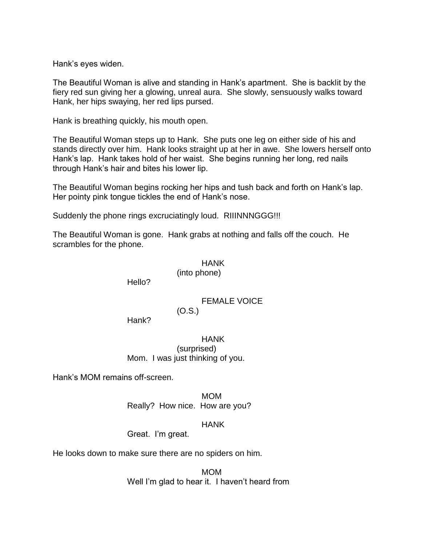Hank's eyes widen.

The Beautiful Woman is alive and standing in Hank's apartment. She is backlit by the fiery red sun giving her a glowing, unreal aura. She slowly, sensuously walks toward Hank, her hips swaying, her red lips pursed.

Hank is breathing quickly, his mouth open.

The Beautiful Woman steps up to Hank. She puts one leg on either side of his and stands directly over him. Hank looks straight up at her in awe. She lowers herself onto Hank's lap. Hank takes hold of her waist. She begins running her long, red nails through Hank's hair and bites his lower lip.

The Beautiful Woman begins rocking her hips and tush back and forth on Hank's lap. Her pointy pink tongue tickles the end of Hank's nose.

Suddenly the phone rings excruciatingly loud. RIIINNNGGG!!!

The Beautiful Woman is gone. Hank grabs at nothing and falls off the couch. He scrambles for the phone.

# HANK

(into phone)

Hello?

# FEMALE VOICE

(O.S.)

Hank?

HANK (surprised) Mom. I was just thinking of you.

Hank's MOM remains off-screen.

MOM

Really? How nice. How are you?

HANK

Great. I'm great.

He looks down to make sure there are no spiders on him.

MOM Well I'm glad to hear it. I haven't heard from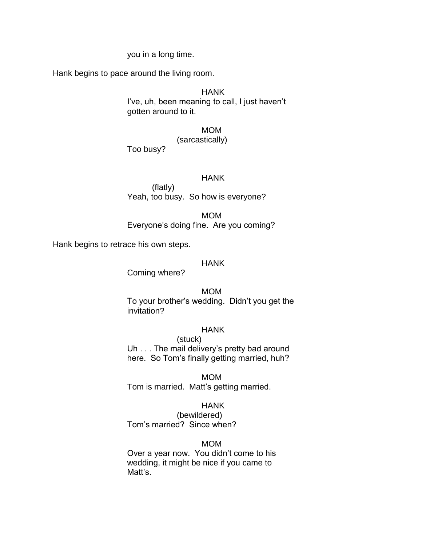#### you in a long time.

Hank begins to pace around the living room.

# HANK

I've, uh, been meaning to call, I just haven't gotten around to it.

MOM

## (sarcastically)

Too busy?

#### HANK

(flatly) Yeah, too busy. So how is everyone?

MOM Everyone's doing fine. Are you coming?

Hank begins to retrace his own steps.

#### HANK

Coming where?

#### MOM

To your brother's wedding. Didn't you get the invitation?

## HANK

(stuck) Uh . . . The mail delivery's pretty bad around here. So Tom's finally getting married, huh?

MOM

Tom is married. Matt's getting married.

#### HANK

(bewildered) Tom's married? Since when?

#### MOM

Over a year now. You didn't come to his wedding, it might be nice if you came to Matt's.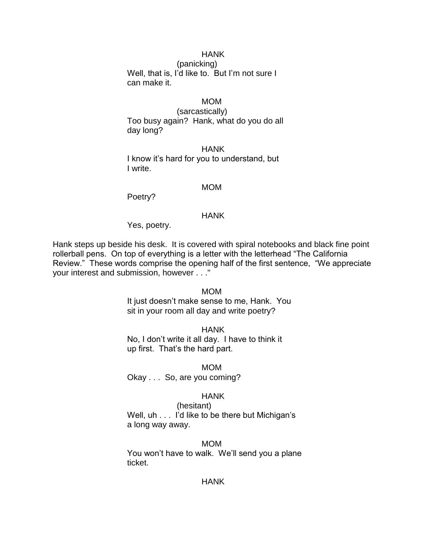# HANK

(panicking) Well, that is, I'd like to. But I'm not sure I can make it.

# MOM

(sarcastically) Too busy again? Hank, what do you do all day long?

HANK I know it's hard for you to understand, but I write.

#### MOM

Poetry?

#### HANK

Yes, poetry.

Hank steps up beside his desk. It is covered with spiral notebooks and black fine point rollerball pens. On top of everything is a letter with the letterhead "The California Review." These words comprise the opening half of the first sentence, "We appreciate your interest and submission, however . . ."

#### MOM

It just doesn't make sense to me, Hank. You sit in your room all day and write poetry?

## **HANK**

No, I don't write it all day. I have to think it up first. That's the hard part.

#### MOM

Okay . . . So, are you coming?

#### HANK

(hesitant) Well, uh . . . I'd like to be there but Michigan's a long way away.

#### MOM

You won't have to walk. We'll send you a plane ticket.

#### **HANK**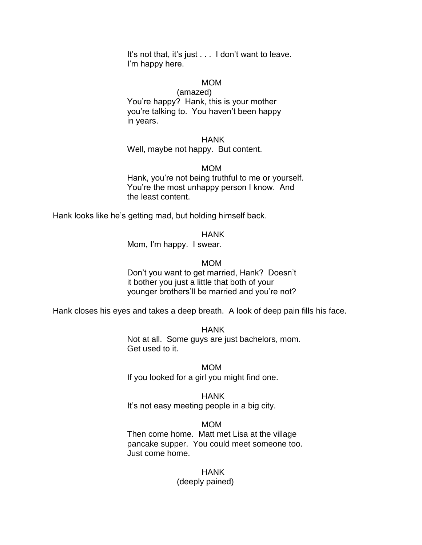It's not that, it's just . . . I don't want to leave. I'm happy here.

#### MOM

#### (amazed)

You're happy? Hank, this is your mother you're talking to. You haven't been happy in years.

#### **HANK**

#### Well, maybe not happy. But content.

#### MOM

Hank, you're not being truthful to me or yourself. You're the most unhappy person I know. And the least content.

Hank looks like he's getting mad, but holding himself back.

#### **HANK**

Mom, I'm happy. I swear.

#### MOM

Don't you want to get married, Hank? Doesn't it bother you just a little that both of your younger brothers'll be married and you're not?

Hank closes his eyes and takes a deep breath. A look of deep pain fills his face.

HANK Not at all. Some guys are just bachelors, mom. Get used to it.

MOM If you looked for a girl you might find one.

# **HANK**

It's not easy meeting people in a big city.

## MOM

Then come home. Matt met Lisa at the village pancake supper. You could meet someone too. Just come home.

## HANK

#### (deeply pained)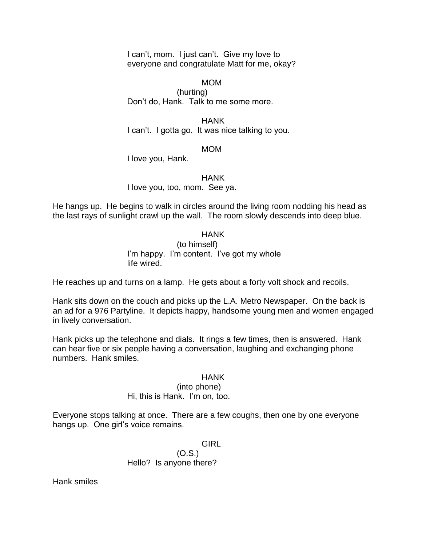I can't, mom. I just can't. Give my love to everyone and congratulate Matt for me, okay?

#### MOM

(hurting) Don't do, Hank. Talk to me some more.

HANK I can't. I gotta go. It was nice talking to you.

#### MOM

I love you, Hank.

## HANK

I love you, too, mom. See ya.

He hangs up. He begins to walk in circles around the living room nodding his head as the last rays of sunlight crawl up the wall. The room slowly descends into deep blue.

#### **HANK**

(to himself) I'm happy. I'm content. I've got my whole life wired.

He reaches up and turns on a lamp. He gets about a forty volt shock and recoils.

Hank sits down on the couch and picks up the L.A. Metro Newspaper. On the back is an ad for a 976 Partyline. It depicts happy, handsome young men and women engaged in lively conversation.

Hank picks up the telephone and dials. It rings a few times, then is answered. Hank can hear five or six people having a conversation, laughing and exchanging phone numbers. Hank smiles.

## HANK

#### (into phone)

# Hi, this is Hank. I'm on, too.

Everyone stops talking at once. There are a few coughs, then one by one everyone hangs up. One girl's voice remains.

## **GIRL**

(O.S.) Hello? Is anyone there?

Hank smiles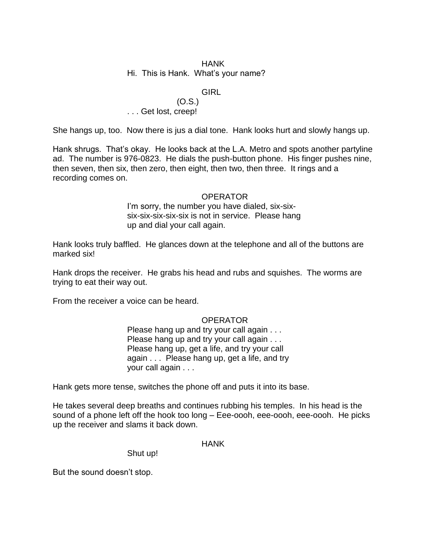# HANK

#### Hi. This is Hank. What's your name?

# **GIRL**

## (O.S.) . . . Get lost, creep!

She hangs up, too. Now there is jus a dial tone. Hank looks hurt and slowly hangs up.

Hank shrugs. That's okay. He looks back at the L.A. Metro and spots another partyline ad. The number is 976-0823. He dials the push-button phone. His finger pushes nine, then seven, then six, then zero, then eight, then two, then three. It rings and a recording comes on.

#### OPERATOR

I'm sorry, the number you have dialed, six-sixsix-six-six-six-six is not in service. Please hang up and dial your call again.

Hank looks truly baffled. He glances down at the telephone and all of the buttons are marked six!

Hank drops the receiver. He grabs his head and rubs and squishes. The worms are trying to eat their way out.

From the receiver a voice can be heard.

# OPERATOR

Please hang up and try your call again . . . Please hang up and try your call again . . . Please hang up, get a life, and try your call again . . . Please hang up, get a life, and try your call again . . .

Hank gets more tense, switches the phone off and puts it into its base.

He takes several deep breaths and continues rubbing his temples. In his head is the sound of a phone left off the hook too long – Eee-oooh, eee-oooh, eee-oooh. He picks up the receiver and slams it back down.

## HANK

Shut up!

But the sound doesn't stop.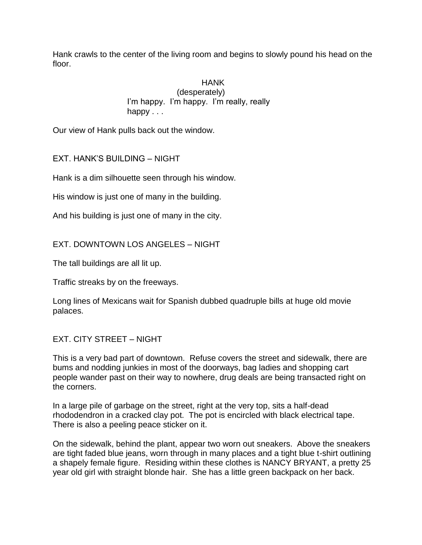Hank crawls to the center of the living room and begins to slowly pound his head on the floor.

> HANK (desperately) I'm happy. I'm happy. I'm really, really happy . . .

Our view of Hank pulls back out the window.

EXT. HANK'S BUILDING – NIGHT

Hank is a dim silhouette seen through his window.

His window is just one of many in the building.

And his building is just one of many in the city.

EXT. DOWNTOWN LOS ANGELES – NIGHT

The tall buildings are all lit up.

Traffic streaks by on the freeways.

Long lines of Mexicans wait for Spanish dubbed quadruple bills at huge old movie palaces.

# EXT. CITY STREET – NIGHT

This is a very bad part of downtown. Refuse covers the street and sidewalk, there are bums and nodding junkies in most of the doorways, bag ladies and shopping cart people wander past on their way to nowhere, drug deals are being transacted right on the corners.

In a large pile of garbage on the street, right at the very top, sits a half-dead rhododendron in a cracked clay pot. The pot is encircled with black electrical tape. There is also a peeling peace sticker on it.

On the sidewalk, behind the plant, appear two worn out sneakers. Above the sneakers are tight faded blue jeans, worn through in many places and a tight blue t-shirt outlining a shapely female figure. Residing within these clothes is NANCY BRYANT, a pretty 25 year old girl with straight blonde hair. She has a little green backpack on her back.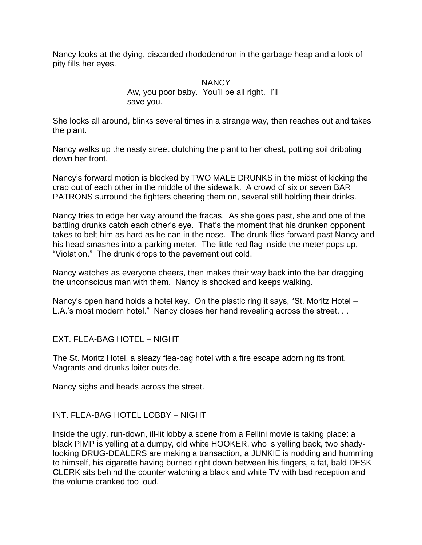Nancy looks at the dying, discarded rhododendron in the garbage heap and a look of pity fills her eyes.

> **NANCY** Aw, you poor baby. You'll be all right. I'll save you.

She looks all around, blinks several times in a strange way, then reaches out and takes the plant.

Nancy walks up the nasty street clutching the plant to her chest, potting soil dribbling down her front.

Nancy's forward motion is blocked by TWO MALE DRUNKS in the midst of kicking the crap out of each other in the middle of the sidewalk. A crowd of six or seven BAR PATRONS surround the fighters cheering them on, several still holding their drinks.

Nancy tries to edge her way around the fracas. As she goes past, she and one of the battling drunks catch each other's eye. That's the moment that his drunken opponent takes to belt him as hard as he can in the nose. The drunk flies forward past Nancy and his head smashes into a parking meter. The little red flag inside the meter pops up, ―Violation.‖ The drunk drops to the pavement out cold.

Nancy watches as everyone cheers, then makes their way back into the bar dragging the unconscious man with them. Nancy is shocked and keeps walking.

Nancy's open hand holds a hotel key. On the plastic ring it says, "St. Moritz Hotel  $-$ L.A.'s most modern hotel." Nancy closes her hand revealing across the street. . .

EXT. FLEA-BAG HOTEL – NIGHT

The St. Moritz Hotel, a sleazy flea-bag hotel with a fire escape adorning its front. Vagrants and drunks loiter outside.

Nancy sighs and heads across the street.

# INT. FLEA-BAG HOTEL LOBBY – NIGHT

Inside the ugly, run-down, ill-lit lobby a scene from a Fellini movie is taking place: a black PIMP is yelling at a dumpy, old white HOOKER, who is yelling back, two shadylooking DRUG-DEALERS are making a transaction, a JUNKIE is nodding and humming to himself, his cigarette having burned right down between his fingers, a fat, bald DESK CLERK sits behind the counter watching a black and white TV with bad reception and the volume cranked too loud.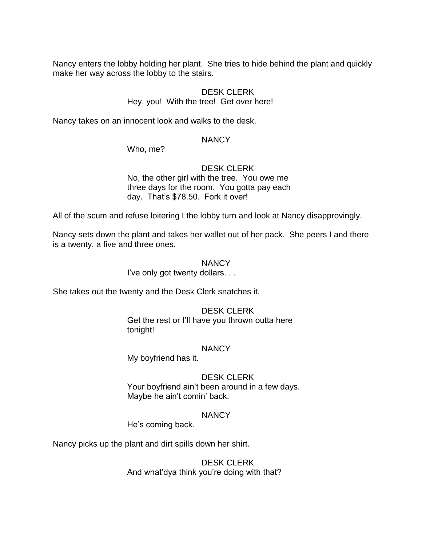Nancy enters the lobby holding her plant. She tries to hide behind the plant and quickly make her way across the lobby to the stairs.

# DESK CLERK

## Hey, you! With the tree! Get over here!

Nancy takes on an innocent look and walks to the desk.

## **NANCY**

Who, me?

# DESK CLERK

No, the other girl with the tree. You owe me three days for the room. You gotta pay each day. That's \$78.50. Fork it over!

All of the scum and refuse loitering I the lobby turn and look at Nancy disapprovingly.

Nancy sets down the plant and takes her wallet out of her pack. She peers I and there is a twenty, a five and three ones.

## **NANCY**

I've only got twenty dollars. . .

She takes out the twenty and the Desk Clerk snatches it.

# DESK CLERK

Get the rest or I'll have you thrown outta here tonight!

## **NANCY**

My boyfriend has it.

# DESK CLERK

Your boyfriend ain't been around in a few days. Maybe he ain't comin' back.

# **NANCY**

He's coming back.

Nancy picks up the plant and dirt spills down her shirt.

## DESK CLERK And what'dya think you're doing with that?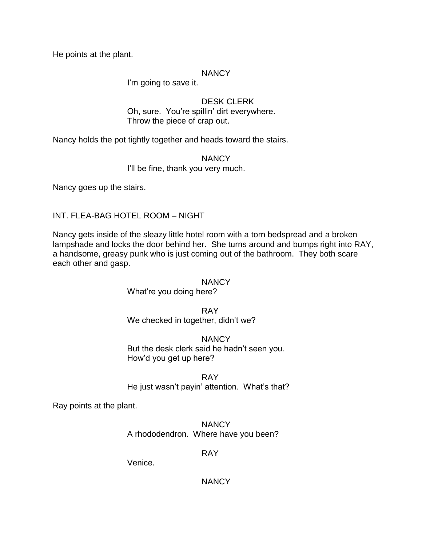He points at the plant.

## **NANCY**

I'm going to save it.

DESK CLERK Oh, sure. You're spillin' dirt everywhere. Throw the piece of crap out.

Nancy holds the pot tightly together and heads toward the stairs.

**NANCY** I'll be fine, thank you very much.

Nancy goes up the stairs.

INT. FLEA-BAG HOTEL ROOM – NIGHT

Nancy gets inside of the sleazy little hotel room with a torn bedspread and a broken lampshade and locks the door behind her. She turns around and bumps right into RAY, a handsome, greasy punk who is just coming out of the bathroom. They both scare each other and gasp.

## NANCY

What're you doing here?

RAY We checked in together, didn't we?

**NANCY** But the desk clerk said he hadn't seen you. How'd you get up here?

RAY He just wasn't payin' attention. What's that?

Ray points at the plant.

**NANCY** A rhododendron. Where have you been?

RAY

Venice.

**NANCY**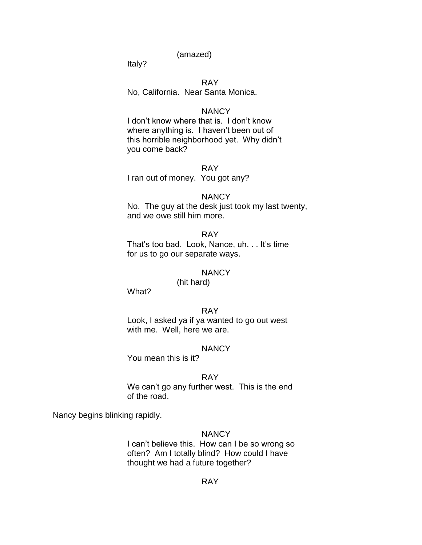(amazed)

Italy?

## RAY

No, California. Near Santa Monica.

#### **NANCY**

I don't know where that is. I don't know where anything is. I haven't been out of this horrible neighborhood yet. Why didn't you come back?

#### RAY

I ran out of money. You got any?

#### **NANCY**

No. The guy at the desk just took my last twenty, and we owe still him more.

RAY That's too bad. Look, Nance, uh. . . It's time for us to go our separate ways.

#### **NANCY**

(hit hard)

What?

## RAY

Look, I asked ya if ya wanted to go out west with me. Well, here we are.

#### **NANCY**

You mean this is it?

## RAY

We can't go any further west. This is the end of the road.

Nancy begins blinking rapidly.

#### **NANCY**

I can't believe this. How can I be so wrong so often? Am I totally blind? How could I have thought we had a future together?

#### RAY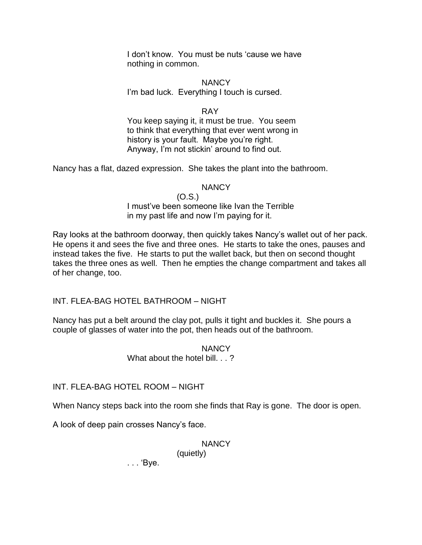I don't know. You must be nuts 'cause we have nothing in common.

## **NANCY**

I'm bad luck. Everything I touch is cursed.

## RAY

You keep saying it, it must be true. You seem to think that everything that ever went wrong in history is your fault. Maybe you're right. Anyway, I'm not stickin' around to find out.

Nancy has a flat, dazed expression. She takes the plant into the bathroom.

## **NANCY**

(O.S.) I must've been someone like Ivan the Terrible in my past life and now I'm paying for it.

Ray looks at the bathroom doorway, then quickly takes Nancy's wallet out of her pack. He opens it and sees the five and three ones. He starts to take the ones, pauses and instead takes the five. He starts to put the wallet back, but then on second thought takes the three ones as well. Then he empties the change compartment and takes all of her change, too.

INT. FLEA-BAG HOTEL BATHROOM – NIGHT

Nancy has put a belt around the clay pot, pulls it tight and buckles it. She pours a couple of glasses of water into the pot, then heads out of the bathroom.

## **NANCY** What about the hotel bill. . .?

INT. FLEA-BAG HOTEL ROOM – NIGHT

When Nancy steps back into the room she finds that Ray is gone. The door is open.

A look of deep pain crosses Nancy's face.

# **NANCY**

(quietly)

. . . ‗Bye.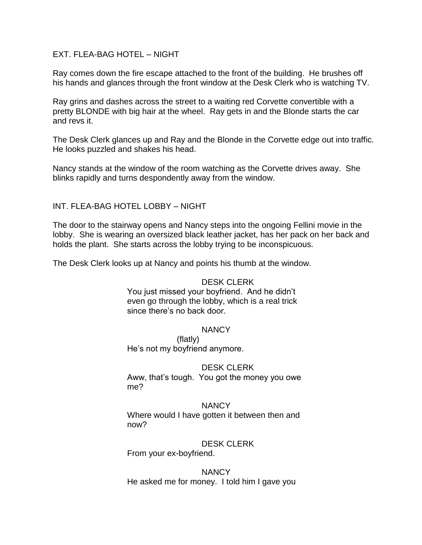## EXT. FLEA-BAG HOTEL – NIGHT

Ray comes down the fire escape attached to the front of the building. He brushes off his hands and glances through the front window at the Desk Clerk who is watching TV.

Ray grins and dashes across the street to a waiting red Corvette convertible with a pretty BLONDE with big hair at the wheel. Ray gets in and the Blonde starts the car and revs it.

The Desk Clerk glances up and Ray and the Blonde in the Corvette edge out into traffic. He looks puzzled and shakes his head.

Nancy stands at the window of the room watching as the Corvette drives away. She blinks rapidly and turns despondently away from the window.

INT. FLEA-BAG HOTEL LOBBY – NIGHT

The door to the stairway opens and Nancy steps into the ongoing Fellini movie in the lobby. She is wearing an oversized black leather jacket, has her pack on her back and holds the plant. She starts across the lobby trying to be inconspicuous.

The Desk Clerk looks up at Nancy and points his thumb at the window.

## DESK CLERK

You just missed your boyfriend. And he didn't even go through the lobby, which is a real trick since there's no back door.

## NANCY

(flatly) He's not my boyfriend anymore.

## DESK CLERK

Aww, that's tough. You got the money you owe me?

**NANCY** Where would I have gotten it between then and now?

## DESK CLERK

From your ex-boyfriend.

NANCY He asked me for money. I told him I gave you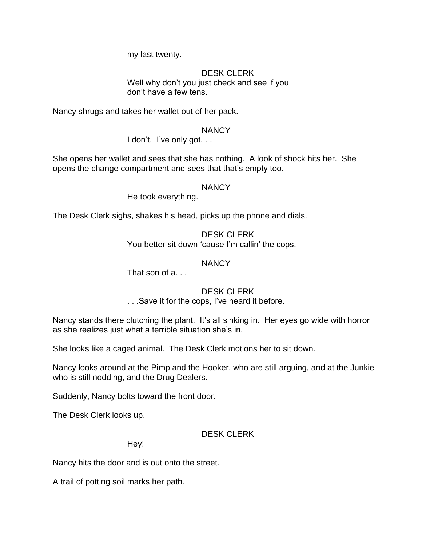my last twenty.

## DESK CLERK Well why don't you just check and see if you don't have a few tens.

Nancy shrugs and takes her wallet out of her pack.

# **NANCY**

I don't. I've only got...

She opens her wallet and sees that she has nothing. A look of shock hits her. She opens the change compartment and sees that that's empty too.

## NANCY

He took everything.

The Desk Clerk sighs, shakes his head, picks up the phone and dials.

DESK CLERK You better sit down 'cause I'm callin' the cops.

# NANCY

That son of a. . .

# DESK CLERK

. . .Save it for the cops, I've heard it before.

Nancy stands there clutching the plant. It's all sinking in. Her eyes go wide with horror as she realizes just what a terrible situation she's in.

She looks like a caged animal. The Desk Clerk motions her to sit down.

Nancy looks around at the Pimp and the Hooker, who are still arguing, and at the Junkie who is still nodding, and the Drug Dealers.

Suddenly, Nancy bolts toward the front door.

The Desk Clerk looks up.

DESK CLERK

Hey!

Nancy hits the door and is out onto the street.

A trail of potting soil marks her path.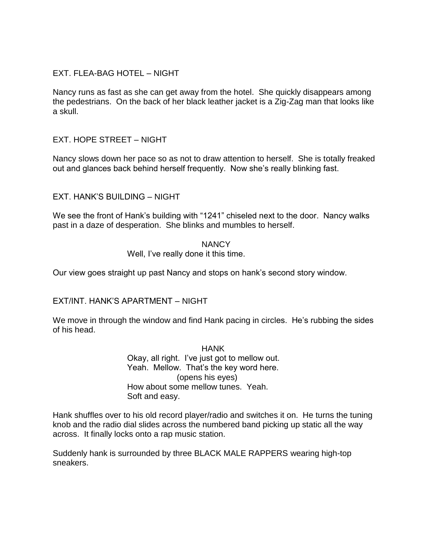# EXT. FLEA-BAG HOTEL – NIGHT

Nancy runs as fast as she can get away from the hotel. She quickly disappears among the pedestrians. On the back of her black leather jacket is a Zig-Zag man that looks like a skull.

# EXT. HOPE STREET – NIGHT

Nancy slows down her pace so as not to draw attention to herself. She is totally freaked out and glances back behind herself frequently. Now she's really blinking fast.

# EXT. HANK'S BUILDING – NIGHT

We see the front of Hank's building with "1241" chiseled next to the door. Nancy walks past in a daze of desperation. She blinks and mumbles to herself.

#### **NANCY** Well, I've really done it this time.

Our view goes straight up past Nancy and stops on hank's second story window.

# EXT/INT. HANK'S APARTMENT – NIGHT

We move in through the window and find Hank pacing in circles. He's rubbing the sides of his head.

> HANK Okay, all right. I've just got to mellow out. Yeah. Mellow. That's the key word here. (opens his eyes) How about some mellow tunes. Yeah. Soft and easy.

Hank shuffles over to his old record player/radio and switches it on. He turns the tuning knob and the radio dial slides across the numbered band picking up static all the way across. It finally locks onto a rap music station.

Suddenly hank is surrounded by three BLACK MALE RAPPERS wearing high-top sneakers.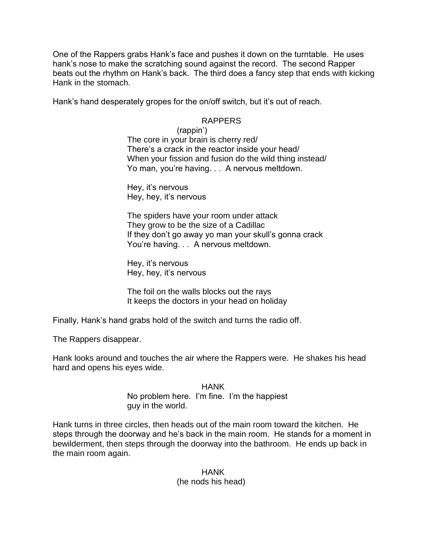One of the Rappers grabs Hank's face and pushes it down on the turntable. He uses hank's nose to make the scratching sound against the record. The second Rapper beats out the rhythm on Hank's back. The third does a fancy step that ends with kicking Hank in the stomach.

Hank's hand desperately gropes for the on/off switch, but it's out of reach.

# RAPPERS

(rappin') The core in your brain is cherry red/ There's a crack in the reactor inside your head/ When your fission and fusion do the wild thing instead/ Yo man, you're having. . . A nervous meltdown.

Hey, it's nervous Hey, hey, it's nervous

The spiders have your room under attack They grow to be the size of a Cadillac If they don't go away yo man your skull's gonna crack You're having. . . A nervous meltdown.

Hey, it's nervous Hey, hey, it's nervous

The foil on the walls blocks out the rays It keeps the doctors in your head on holiday

Finally, Hank's hand grabs hold of the switch and turns the radio off.

The Rappers disappear.

Hank looks around and touches the air where the Rappers were. He shakes his head hard and opens his eyes wide.

> HANK No problem here. I'm fine. I'm the happiest guy in the world.

Hank turns in three circles, then heads out of the main room toward the kitchen. He steps through the doorway and he's back in the main room. He stands for a moment in bewilderment, then steps through the doorway into the bathroom. He ends up back in the main room again.

#### HANK (he nods his head)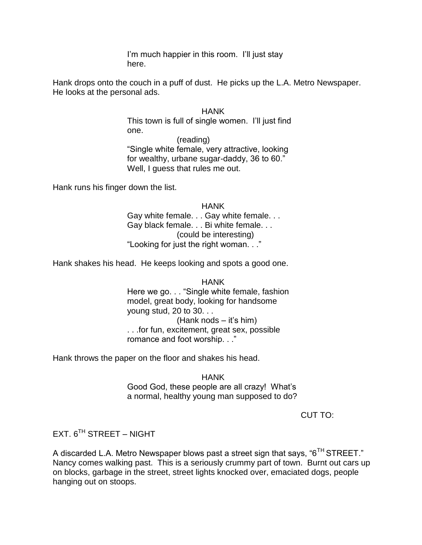I'm much happier in this room. I'll just stay here.

Hank drops onto the couch in a puff of dust. He picks up the L.A. Metro Newspaper. He looks at the personal ads.

#### HANK

This town is full of single women. I'll just find one.

(reading)

―Single white female, very attractive, looking for wealthy, urbane sugar-daddy, 36 to 60." Well, I guess that rules me out.

Hank runs his finger down the list.

**HANK** Gay white female. . . Gay white female. . . Gay black female. . . Bi white female. . . (could be interesting) "Looking for just the right woman. . ."

Hank shakes his head. He keeps looking and spots a good one.

**HANK** Here we go. . . "Single white female, fashion model, great body, looking for handsome young stud, 20 to 30. . . (Hank nods – it's him) . . .for fun, excitement, great sex, possible romance and foot worship. . ."

Hank throws the paper on the floor and shakes his head.

**HANK** 

Good God, these people are all crazy! What's a normal, healthy young man supposed to do?

CUT TO:

EXT.  $6^{TH}$  STREET – NIGHT

A discarded L.A. Metro Newspaper blows past a street sign that says, " $6<sup>TH</sup>$  STREET." Nancy comes walking past. This is a seriously crummy part of town. Burnt out cars up on blocks, garbage in the street, street lights knocked over, emaciated dogs, people hanging out on stoops.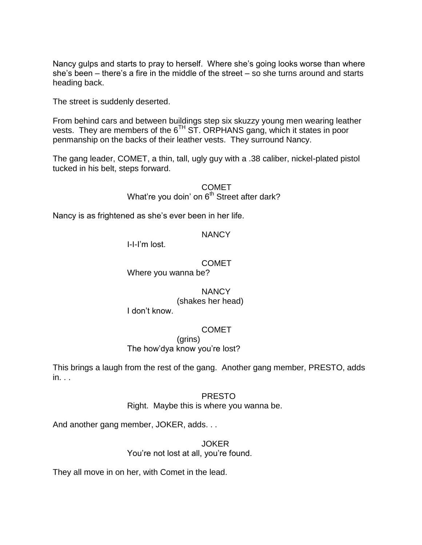Nancy gulps and starts to pray to herself. Where she's going looks worse than where she's been – there's a fire in the middle of the street – so she turns around and starts heading back.

The street is suddenly deserted.

From behind cars and between buildings step six skuzzy young men wearing leather vests. They are members of the  $6^{TH}$  ST. ORPHANS gang, which it states in poor penmanship on the backs of their leather vests. They surround Nancy.

The gang leader, COMET, a thin, tall, ugly guy with a .38 caliber, nickel-plated pistol tucked in his belt, steps forward.

> COMET What're you doin' on  $6<sup>th</sup>$  Street after dark?

Nancy is as frightened as she's ever been in her life.

#### **NANCY**

I-I-I'm lost.

#### COMET

Where you wanna be?

#### **NANCY**

(shakes her head)

I don't know.

## **COMET**

(grins) The how'dya know you're lost?

This brings a laugh from the rest of the gang. Another gang member, PRESTO, adds  $in.$ .

#### PRESTO

Right. Maybe this is where you wanna be.

And another gang member, JOKER, adds. . .

JOKER You're not lost at all, you're found.

They all move in on her, with Comet in the lead.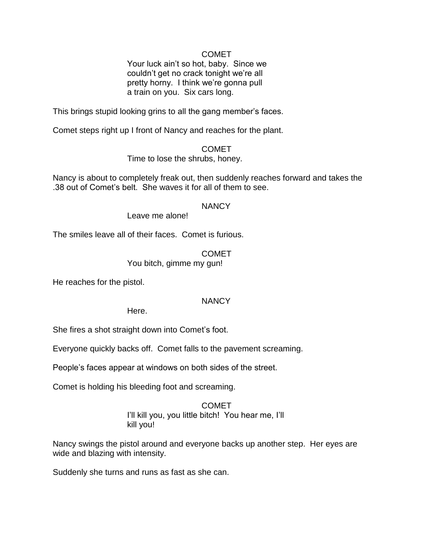## COMET

Your luck ain't so hot, baby. Since we couldn't get no crack tonight we're all pretty horny. I think we're gonna pull a train on you. Six cars long.

This brings stupid looking grins to all the gang member's faces.

Comet steps right up I front of Nancy and reaches for the plant.

COMET

Time to lose the shrubs, honey.

Nancy is about to completely freak out, then suddenly reaches forward and takes the .38 out of Comet's belt. She waves it for all of them to see.

## **NANCY**

Leave me alone!

The smiles leave all of their faces. Comet is furious.

COMET

You bitch, gimme my gun!

He reaches for the pistol.

# **NANCY**

Here.

She fires a shot straight down into Comet's foot.

Everyone quickly backs off. Comet falls to the pavement screaming.

People's faces appear at windows on both sides of the street.

Comet is holding his bleeding foot and screaming.

# **COMET** I'll kill you, you little bitch! You hear me, I'll kill you!

Nancy swings the pistol around and everyone backs up another step. Her eyes are wide and blazing with intensity.

Suddenly she turns and runs as fast as she can.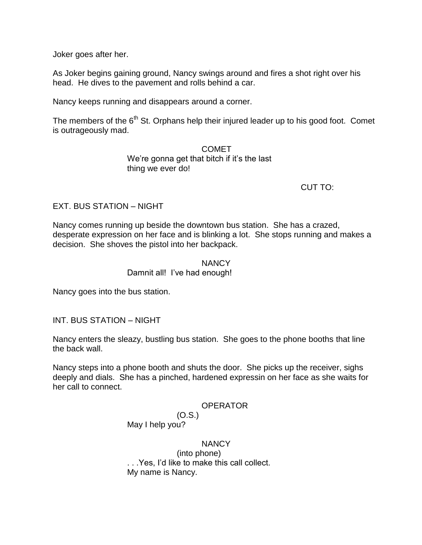Joker goes after her.

As Joker begins gaining ground, Nancy swings around and fires a shot right over his head. He dives to the pavement and rolls behind a car.

Nancy keeps running and disappears around a corner.

The members of the  $6<sup>th</sup>$  St. Orphans help their injured leader up to his good foot. Comet is outrageously mad.

> COMET We're gonna get that bitch if it's the last thing we ever do!

> > CUT TO:

# EXT. BUS STATION – NIGHT

Nancy comes running up beside the downtown bus station. She has a crazed, desperate expression on her face and is blinking a lot. She stops running and makes a decision. She shoves the pistol into her backpack.

# **NANCY**

Damnit all! I've had enough!

Nancy goes into the bus station.

INT. BUS STATION – NIGHT

Nancy enters the sleazy, bustling bus station. She goes to the phone booths that line the back wall.

Nancy steps into a phone booth and shuts the door. She picks up the receiver, sighs deeply and dials. She has a pinched, hardened expressin on her face as she waits for her call to connect.

# **OPERATOR**

(O.S.) May I help you?

# **NANCY**

(into phone) . . .Yes, I'd like to make this call collect. My name is Nancy.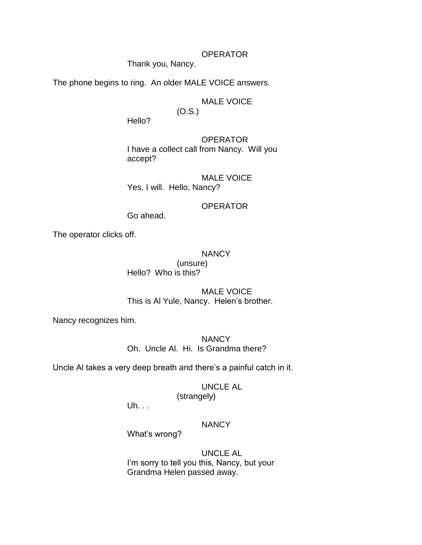#### **OPERATOR**

Thank you, Nancy.

The phone begins to ring. An older MALE VOICE answers.

#### MALE VOICE (O.S.)

Hello?

**OPERATOR** I have a collect call from Nancy. Will you

accept?

MALE VOICE Yes, I will. Hello, Nancy?

## **OPERATOR**

Go ahead.

The operator clicks off.

#### **NANCY**

(unsure) Hello? Who is this?

MALE VOICE This is Al Yule, Nancy. Helen's brother.

Nancy recognizes him.

**NANCY** Oh. Uncle Al. Hi. Is Grandma there?

Uncle Al takes a very deep breath and there's a painful catch in it.

# UNCLE AL

(strangely)

Uh. . .

# **NANCY**

What's wrong?

UNCLE AL I'm sorry to tell you this, Nancy, but your Grandma Helen passed away.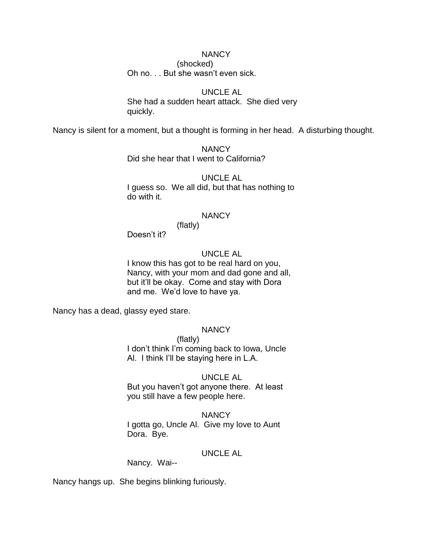# **NANCY**

(shocked) Oh no. . . But she wasn't even sick.

## UNCLE AL

She had a sudden heart attack. She died very quickly.

Nancy is silent for a moment, but a thought is forming in her head. A disturbing thought.

**NANCY** Did she hear that I went to California?

UNCLE AL I guess so. We all did, but that has nothing to do with it.

#### **NANCY**

(flatly) Doesn't it?

# UNCLE AL

I know this has got to be real hard on you, Nancy, with your mom and dad gone and all, but it'll be okay. Come and stay with Dora and me. We'd love to have ya.

Nancy has a dead, glassy eyed stare.

# **NANCY**

(flatly) I don't think I'm coming back to Iowa, Uncle Al. I think I'll be staying here in L.A.

#### UNCLE AL

But you haven't got anyone there. At least you still have a few people here.

#### **NANCY**

I gotta go, Uncle Al. Give my love to Aunt Dora. Bye.

## UNCLE AL

Nancy. Wai--

Nancy hangs up. She begins blinking furiously.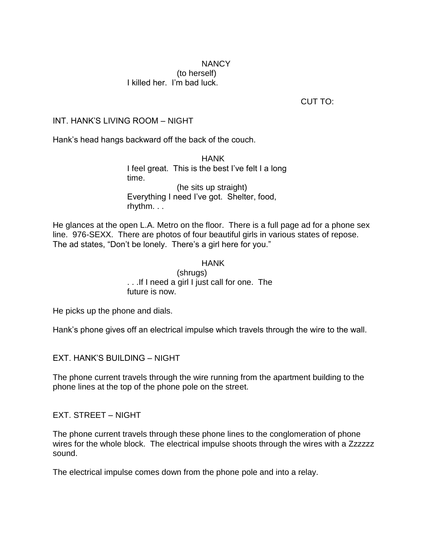## **NANCY** (to herself) I killed her. I'm bad luck.

CUT TO:

# INT. HANK'S LIVING ROOM – NIGHT

Hank's head hangs backward off the back of the couch.

HANK I feel great. This is the best I've felt I a long time. (he sits up straight) Everything I need I've got. Shelter, food, rhythm. . .

He glances at the open L.A. Metro on the floor. There is a full page ad for a phone sex line. 976-SEXX. There are photos of four beautiful girls in various states of repose. The ad states, "Don't be lonely. There's a girl here for you."

#### HANK

(shrugs) . . .If I need a girl I just call for one. The future is now.

He picks up the phone and dials.

Hank's phone gives off an electrical impulse which travels through the wire to the wall.

EXT. HANK'S BUILDING – NIGHT

The phone current travels through the wire running from the apartment building to the phone lines at the top of the phone pole on the street.

EXT. STREET – NIGHT

The phone current travels through these phone lines to the conglomeration of phone wires for the whole block. The electrical impulse shoots through the wires with a Zzzzzzz sound.

The electrical impulse comes down from the phone pole and into a relay.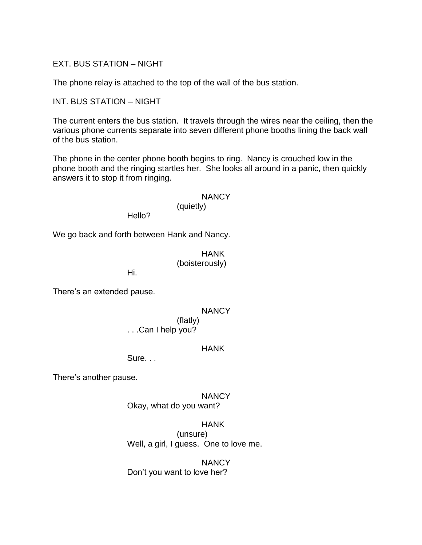EXT. BUS STATION – NIGHT

The phone relay is attached to the top of the wall of the bus station.

INT. BUS STATION – NIGHT

The current enters the bus station. It travels through the wires near the ceiling, then the various phone currents separate into seven different phone booths lining the back wall of the bus station.

The phone in the center phone booth begins to ring. Nancy is crouched low in the phone booth and the ringing startles her. She looks all around in a panic, then quickly answers it to stop it from ringing.

#### **NANCY**

## (quietly)

Hello?

We go back and forth between Hank and Nancy.

HANK (boisterously)

Hi.

There's an extended pause.

**NANCY** (flatly)

. . .Can I help you?

#### HANK

Sure. . .

There's another pause.

NANCY Okay, what do you want?

HANK

(unsure) Well, a girl, I guess. One to love me.

**NANCY** Don't you want to love her?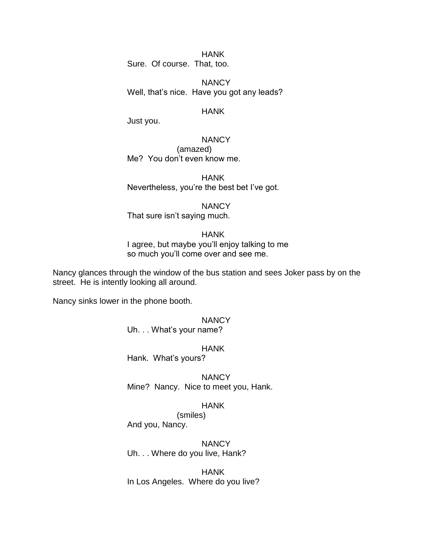HANK Sure. Of course. That, too.

**NANCY** Well, that's nice. Have you got any leads?

#### **HANK**

Just you.

## **NANCY**

(amazed) Me? You don't even know me.

**HANK** Nevertheless, you're the best bet I've got.

#### **NANCY**

That sure isn't saying much.

#### HANK

I agree, but maybe you'll enjoy talking to me so much you'll come over and see me.

Nancy glances through the window of the bus station and sees Joker pass by on the street. He is intently looking all around.

Nancy sinks lower in the phone booth.

#### **NANCY**

Uh. . . What's your name?

#### HANK

Hank. What's yours?

**NANCY** Mine? Nancy. Nice to meet you, Hank.

#### HANK

(smiles) And you, Nancy.

**NANCY** Uh. . . Where do you live, Hank?

HANK In Los Angeles. Where do you live?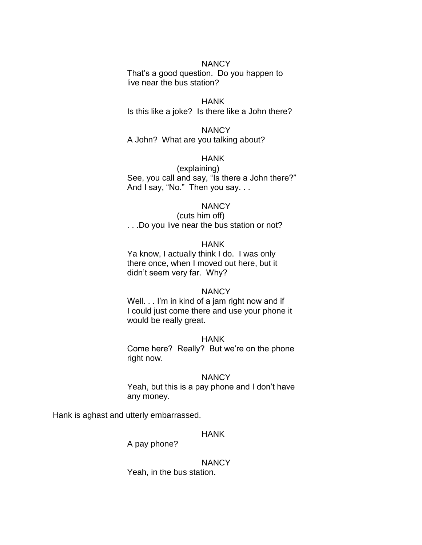## **NANCY**

That's a good question. Do you happen to live near the bus station?

#### HANK Is this like a joke? Is there like a John there?

**NANCY** A John? What are you talking about?

## HANK

(explaining) See, you call and say, "Is there a John there?" And I say, "No." Then you say. . .

#### **NANCY**

(cuts him off) . . .Do you live near the bus station or not?

#### HANK

Ya know, I actually think I do. I was only there once, when I moved out here, but it didn't seem very far. Why?

#### **NANCY**

Well. . . I'm in kind of a jam right now and if I could just come there and use your phone it would be really great.

#### HANK

Come here? Really? But we're on the phone right now.

#### **NANCY**

Yeah, but this is a pay phone and I don't have any money.

Hank is aghast and utterly embarrassed.

#### HANK

A pay phone?

#### **NANCY**

Yeah, in the bus station.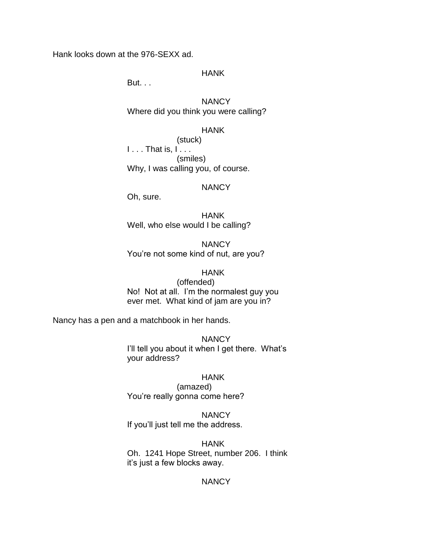Hank looks down at the 976-SEXX ad.

## HANK

But. . .

**NANCY** Where did you think you were calling?

## HANK

(stuck)  $1 \ldots$  That is,  $1 \ldots$ (smiles) Why, I was calling you, of course.

#### **NANCY**

Oh, sure.

HANK Well, who else would I be calling?

**NANCY** You're not some kind of nut, are you?

#### HANK

(offended) No! Not at all. I'm the normalest guy you ever met. What kind of jam are you in?

Nancy has a pen and a matchbook in her hands.

**NANCY** I'll tell you about it when I get there. What's your address?

#### HANK

(amazed) You're really gonna come here?

**NANCY** 

If you'll just tell me the address.

## HANK

Oh. 1241 Hope Street, number 206. I think it's just a few blocks away.

# **NANCY**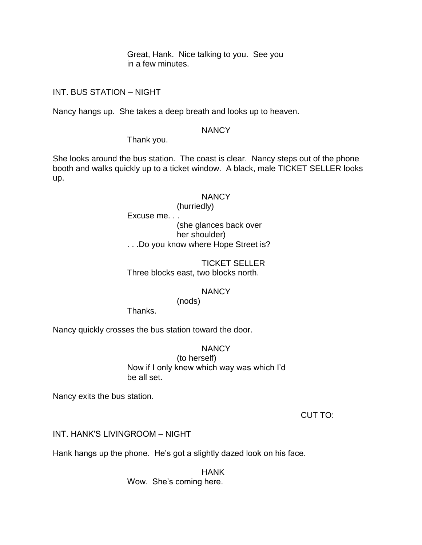Great, Hank. Nice talking to you. See you in a few minutes.

INT. BUS STATION – NIGHT

Nancy hangs up. She takes a deep breath and looks up to heaven.

## **NANCY**

Thank you.

She looks around the bus station. The coast is clear. Nancy steps out of the phone booth and walks quickly up to a ticket window. A black, male TICKET SELLER looks up.

#### **NANCY**

(hurriedly)

Excuse me. . .

(she glances back over her shoulder)

. . .Do you know where Hope Street is?

## TICKET SELLER Three blocks east, two blocks north.

# **NANCY**

(nods)

Thanks.

Nancy quickly crosses the bus station toward the door.

**NANCY** 

(to herself) Now if I only knew which way was which I'd be all set.

Nancy exits the bus station.

CUT TO:

INT. HANK'S LIVINGROOM – NIGHT

Hank hangs up the phone. He's got a slightly dazed look on his face.

HANK

Wow. She's coming here.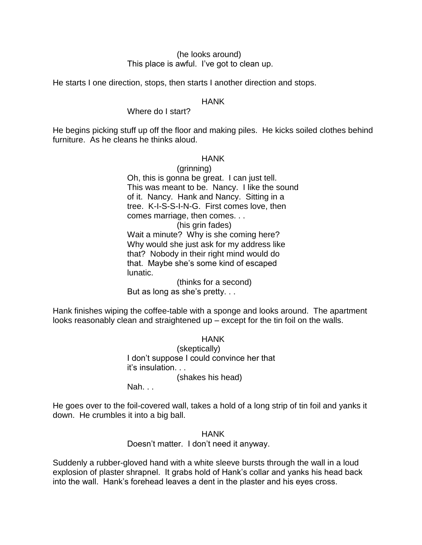### (he looks around) This place is awful. I've got to clean up.

He starts I one direction, stops, then starts I another direction and stops.

#### HANK

### Where do I start?

He begins picking stuff up off the floor and making piles. He kicks soiled clothes behind furniture. As he cleans he thinks aloud.

#### HANK

(grinning) Oh, this is gonna be great. I can just tell. This was meant to be. Nancy. I like the sound of it. Nancy. Hank and Nancy. Sitting in a tree. K-I-S-S-I-N-G. First comes love, then comes marriage, then comes. . . (his grin fades) Wait a minute? Why is she coming here? Why would she just ask for my address like that? Nobody in their right mind would do that. Maybe she's some kind of escaped lunatic. (thinks for a second)

But as long as she's pretty. . .

Hank finishes wiping the coffee-table with a sponge and looks around. The apartment looks reasonably clean and straightened up – except for the tin foil on the walls.

> **HANK** (skeptically) I don't suppose I could convince her that it's insulation. . . (shakes his head)

Nah. . .

He goes over to the foil-covered wall, takes a hold of a long strip of tin foil and yanks it down. He crumbles it into a big ball.

### HANK

Doesn't matter. I don't need it anyway.

Suddenly a rubber-gloved hand with a white sleeve bursts through the wall in a loud explosion of plaster shrapnel. It grabs hold of Hank's collar and yanks his head back into the wall. Hank's forehead leaves a dent in the plaster and his eyes cross.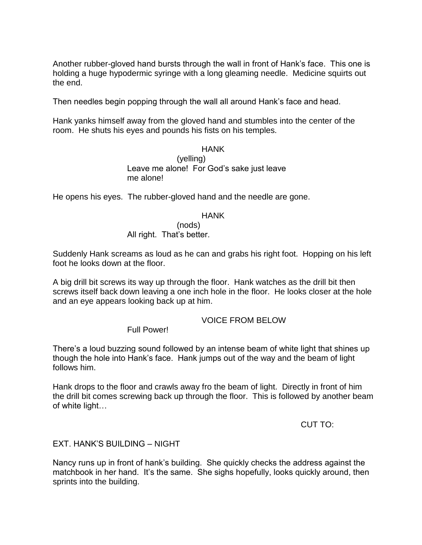Another rubber-gloved hand bursts through the wall in front of Hank's face. This one is holding a huge hypodermic syringe with a long gleaming needle. Medicine squirts out the end.

Then needles begin popping through the wall all around Hank's face and head.

Hank yanks himself away from the gloved hand and stumbles into the center of the room. He shuts his eyes and pounds his fists on his temples.

#### HANK

(yelling) Leave me alone! For God's sake just leave me alone!

He opens his eyes. The rubber-gloved hand and the needle are gone.

### HANK

(nods) All right. That's better.

Suddenly Hank screams as loud as he can and grabs his right foot. Hopping on his left foot he looks down at the floor.

A big drill bit screws its way up through the floor. Hank watches as the drill bit then screws itself back down leaving a one inch hole in the floor. He looks closer at the hole and an eye appears looking back up at him.

### VOICE FROM BELOW

Full Power!

There's a loud buzzing sound followed by an intense beam of white light that shines up though the hole into Hank's face. Hank jumps out of the way and the beam of light follows him.

Hank drops to the floor and crawls away fro the beam of light. Directly in front of him the drill bit comes screwing back up through the floor. This is followed by another beam of white light…

CUT TO:

### EXT. HANK'S BUILDING – NIGHT

Nancy runs up in front of hank's building. She quickly checks the address against the matchbook in her hand. It's the same. She sighs hopefully, looks quickly around, then sprints into the building.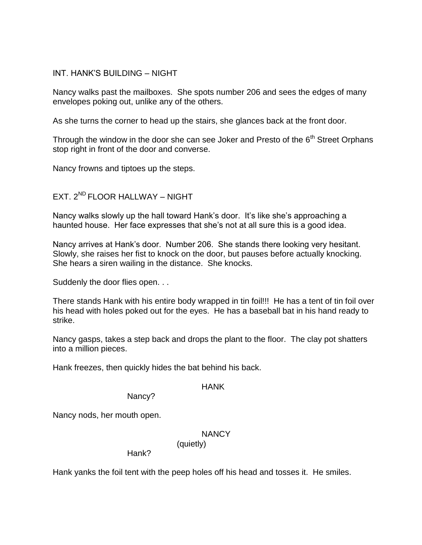### INT. HANK'S BUILDING – NIGHT

Nancy walks past the mailboxes. She spots number 206 and sees the edges of many envelopes poking out, unlike any of the others.

As she turns the corner to head up the stairs, she glances back at the front door.

Through the window in the door she can see Joker and Presto of the  $6<sup>th</sup>$  Street Orphans stop right in front of the door and converse.

Nancy frowns and tiptoes up the steps.

# $EXT 2^{ND}$  FLOOR HALLWAY – NIGHT

Nancy walks slowly up the hall toward Hank's door. It's like she's approaching a haunted house. Her face expresses that she's not at all sure this is a good idea.

Nancy arrives at Hank's door. Number 206. She stands there looking very hesitant. Slowly, she raises her fist to knock on the door, but pauses before actually knocking. She hears a siren wailing in the distance. She knocks.

Suddenly the door flies open. . .

There stands Hank with his entire body wrapped in tin foil!!! He has a tent of tin foil over his head with holes poked out for the eyes. He has a baseball bat in his hand ready to strike.

Nancy gasps, takes a step back and drops the plant to the floor. The clay pot shatters into a million pieces.

Hank freezes, then quickly hides the bat behind his back.

### HANK

Nancy?

Nancy nods, her mouth open.

### **NANCY**

Hank?

Hank yanks the foil tent with the peep holes off his head and tosses it. He smiles.

(quietly)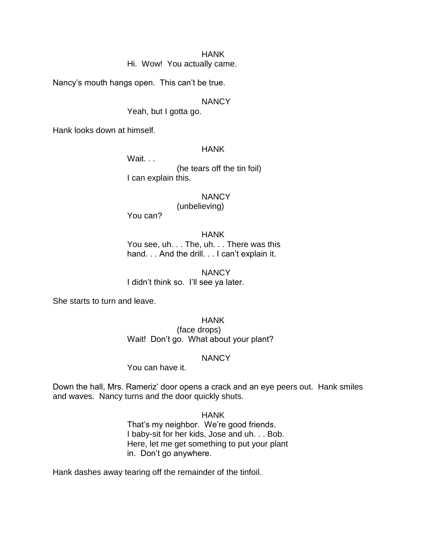Hi. Wow! You actually came.

Nancy's mouth hangs open. This can't be true.

### **NANCY**

Yeah, but I gotta go.

Hank looks down at himself.

#### HANK

Wait. . .

(he tears off the tin foil) I can explain this.

**NANCY** 

(unbelieving)

You can?

#### HANK

You see, uh. . . The, uh. . . There was this hand. . . And the drill. . . I can't explain it.

**NANCY** I didn't think so. I'll see ya later.

She starts to turn and leave.

HANK (face drops) Wait! Don't go. What about your plant?

#### NANCY

You can have it.

Down the hall, Mrs. Rameriz' door opens a crack and an eye peers out. Hank smiles and waves. Nancy turns and the door quickly shuts.

#### HANK

That's my neighbor. We're good friends. I baby-sit for her kids, Jose and uh. . . Bob. Here, let me get something to put your plant in. Don't go anywhere.

Hank dashes away tearing off the remainder of the tinfoil.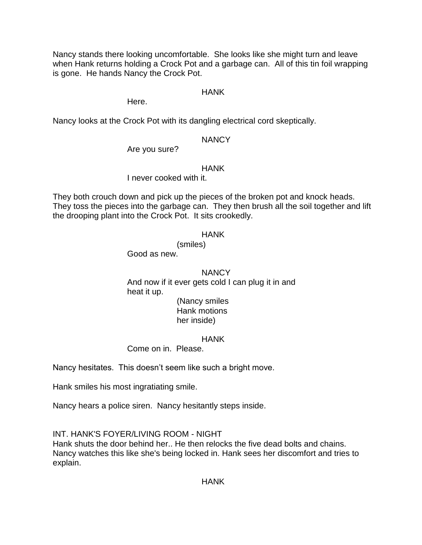Nancy stands there looking uncomfortable. She looks like she might turn and leave when Hank returns holding a Crock Pot and a garbage can. All of this tin foil wrapping is gone. He hands Nancy the Crock Pot.

### HANK

Here.

Nancy looks at the Crock Pot with its dangling electrical cord skeptically.

### **NANCY**

Are you sure?

### HANK

I never cooked with it.

They both crouch down and pick up the pieces of the broken pot and knock heads. They toss the pieces into the garbage can. They then brush all the soil together and lift the drooping plant into the Crock Pot. It sits crookedly.

### **HANK**

(smiles) Good as new.

### **NANCY**

And now if it ever gets cold I can plug it in and heat it up. (Nancy smiles

Hank motions her inside)

### HANK

Come on in. Please.

Nancy hesitates. This doesn't seem like such a bright move.

Hank smiles his most ingratiating smile.

Nancy hears a police siren. Nancy hesitantly steps inside.

INT. HANK'S FOYER/LIVING ROOM - NIGHT

Hank shuts the door behind her.. He then relocks the five dead bolts and chains. Nancy watches this like she's being locked in. Hank sees her discomfort and tries to explain.

HANK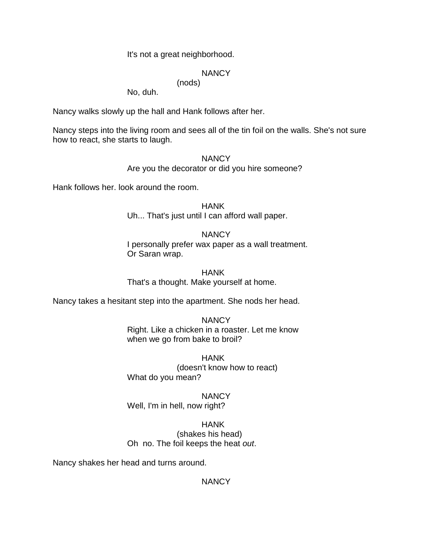### It's not a great neighborhood.

(nods)

### **NANCY**

No, duh.

Nancy walks slowly up the hall and Hank follows after her.

Nancy steps into the living room and sees all of the tin foil on the walls. She's not sure how to react, she starts to laugh.

#### **NANCY**

Are you the decorator or did you hire someone?

Hank follows her. look around the room.

**HANK** Uh... That's just until I can afford wall paper.

### **NANCY**

I personally prefer wax paper as a wall treatment. Or Saran wrap.

HANK That's a thought. Make yourself at home.

Nancy takes a hesitant step into the apartment. She nods her head.

**NANCY** Right. Like a chicken in a roaster. Let me know when we go from bake to broil?

HANK (doesn't know how to react) What do you mean?

NANCY Well, I'm in hell, now right?

HANK (shakes his head) Oh no. The foil keeps the heat *out*.

Nancy shakes her head and turns around.

**NANCY**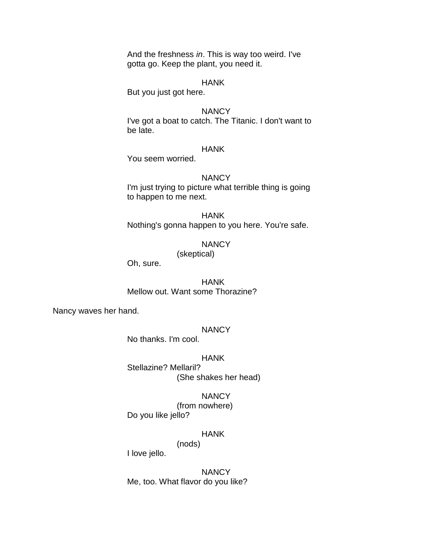And the freshness *in*. This is way too weird. I've gotta go. Keep the plant, you need it.

#### HANK

But you just got here.

#### **NANCY**

I've got a boat to catch. The Titanic. I don't want to be late.

### HANK

You seem worried.

#### **NANCY**

I'm just trying to picture what terrible thing is going to happen to me next.

HANK Nothing's gonna happen to you here. You're safe.

### **NANCY**

(skeptical)

Oh, sure.

HANK Mellow out. Want some Thorazine?

Nancy waves her hand.

#### **NANCY**

No thanks. I'm cool.

#### HANK

Stellazine? Mellaril? (She shakes her head)

#### **NANCY**

(from nowhere) Do you like jello?

#### HANK

(nods)

I love jello.

**NANCY** Me, too. What flavor do you like?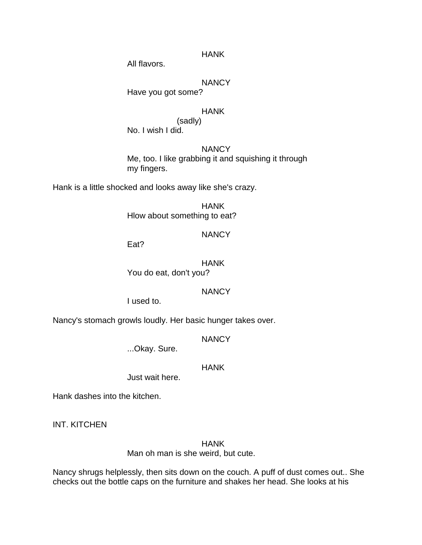All flavors.

### **NANCY**

Have you got some?

### HANK

(sadly) No. I wish I did.

## **NANCY**

Me, too. I like grabbing it and squishing it through my fingers.

Hank is a little shocked and looks away like she's crazy.

HANK Hlow about something to eat?

### **NANCY**

Eat?

HANK You do eat, don't you?

### **NANCY**

I used to.

Nancy's stomach growls loudly. Her basic hunger takes over.

**NANCY** 

...Okay. Sure.

### **HANK**

Just wait here.

Hank dashes into the kitchen.

INT. KITCHEN

HANK Man oh man is she weird, but cute.

Nancy shrugs helplessly, then sits down on the couch. A puff of dust comes out.. She checks out the bottle caps on the furniture and shakes her head. She looks at his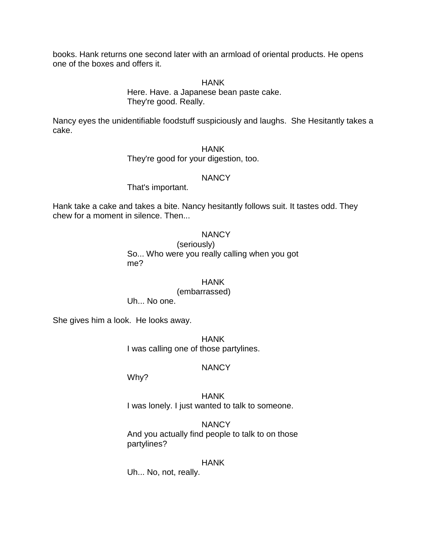books. Hank returns one second later with an armload of oriental products. He opens one of the boxes and offers it.

HANK

Here. Have. a Japanese bean paste cake. They're good. Really.

Nancy eyes the unidentifiable foodstuff suspiciously and laughs. She Hesitantly takes a cake.

> HANK They're good for your digestion, too.

### **NANCY**

That's important.

Hank take a cake and takes a bite. Nancy hesitantly follows suit. It tastes odd. They chew for a moment in silence. Then...

### **NANCY**

(seriously) So... Who were you really calling when you got me?

HANK (embarrassed) Uh... No one.

She gives him a look. He looks away.

HANK I was calling one of those partylines.

## **NANCY**

Why?

HANK I was lonely. I just wanted to talk to someone.

**NANCY** And you actually find people to talk to on those partylines?

### HANK

Uh... No, not, really.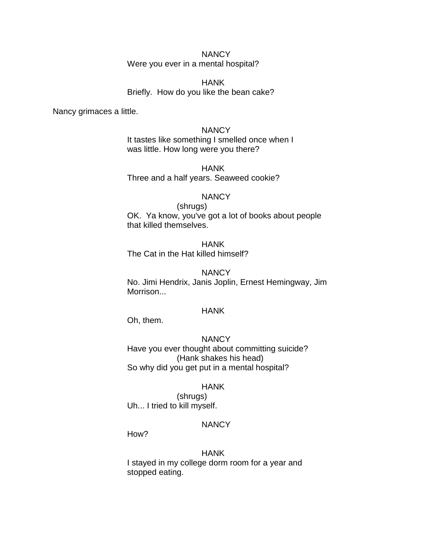### **NANCY** Were you ever in a mental hospital?

HANK Briefly. How do you like the bean cake?

Nancy grimaces a little.

**NANCY** It tastes like something I smelled once when I was little. How long were you there?

HANK Three and a half years. Seaweed cookie?

#### **NANCY**

(shrugs) OK. Ya know, you've got a lot of books about people that killed themselves.

**HANK** The Cat in the Hat killed himself?

### **NANCY**

No. Jimi Hendrix, Janis Joplin, Ernest Hemingway, Jim Morrison...

#### HANK

Oh, them.

### **NANCY**

Have you ever thought about committing suicide? (Hank shakes his head) So why did you get put in a mental hospital?

### HANK

(shrugs) Uh... I tried to kill myself.

## **NANCY**

How?

### HANK

I stayed in my college dorm room for a year and stopped eating.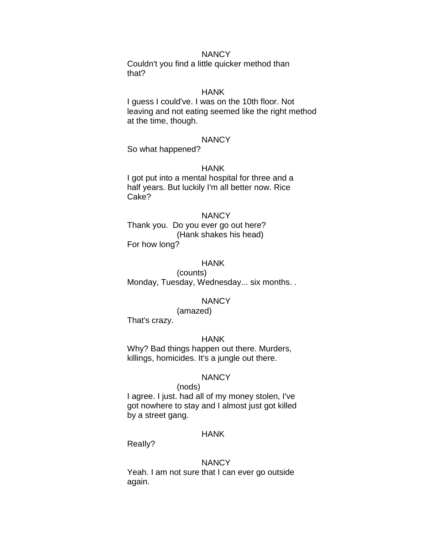Couldn't you find a little quicker method than that?

## HANK

I guess I could've. I was on the 10th floor. Not leaving and not eating seemed like the right method at the time, though.

#### **NANCY**

So what happened?

#### HANK

I got put into a mental hospital for three and a half years. But luckily I'm all better now. Rice Cake?

#### **NANCY**

Thank you. Do you ever go out here? (Hank shakes his head) For how long?

#### HANK

(counts) Monday, Tuesday, Wednesday... six months. .

#### NANCY

(amazed)

That's crazy.

#### HANK

Why? Bad things happen out there. Murders, killings, homicides. It's a jungle out there.

#### **NANCY**

#### (nods)

I agree. I just. had all of my money stolen, I've got nowhere to stay and I almost just got killed by a street gang.

#### HANK

ReaIly?

#### **NANCY**

Yeah. I am not sure that I can ever go outside again.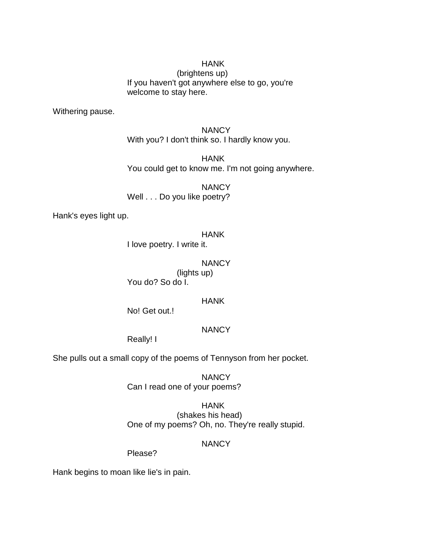(brightens up) If you haven't got anywhere else to go, you're welcome to stay here.

Withering pause.

**NANCY** With you? I don't think so. I hardly know you.

HANK You could get to know me. I'm not going anywhere.

**NANCY** Well . . . Do you like poetry?

Hank's eyes light up.

### HANK

I love poetry. I write it.

### **NANCY**

(lights up) You do? So do I.

### HANK

No! Get out.!

## **NANCY**

Really! I

She pulls out a small copy of the poems of Tennyson from her pocket.

**NANCY** Can I read one of your poems?

HANK (shakes his head) One of my poems? Oh, no. They're really stupid.

## **NANCY**

Please?

Hank begins to moan like lie's in pain.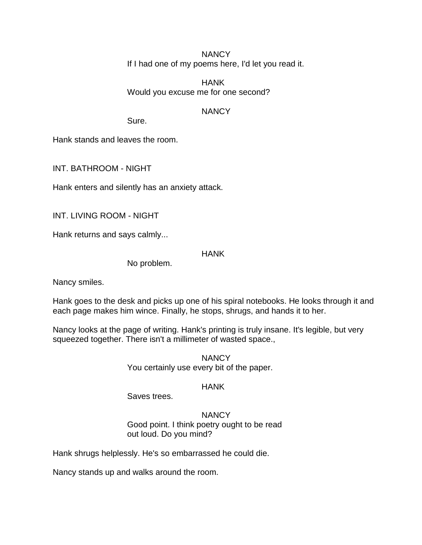**NANCY** If I had one of my poems here, I'd let you read it.

HANK Would you excuse me for one second?

### **NANCY**

Sure.

Hank stands and leaves the room.

INT. BATHROOM - NIGHT

Hank enters and silently has an anxiety attack.

INT. LIVING ROOM - NIGHT

Hank returns and says calmly...

### HANK

No problem.

Nancy smiles.

Hank goes to the desk and picks up one of his spiral notebooks. He looks through it and each page makes him wince. Finally, he stops, shrugs, and hands it to her.

Nancy looks at the page of writing. Hank's printing is truly insane. It's legible, but very squeezed together. There isn't a millimeter of wasted space.,

> **NANCY** You certainly use every bit of the paper.

### HANK

Saves trees.

**NANCY** Good point. I think poetry ought to be read out loud. Do you mind?

Hank shrugs helplessly. He's so embarrassed he could die.

Nancy stands up and walks around the room.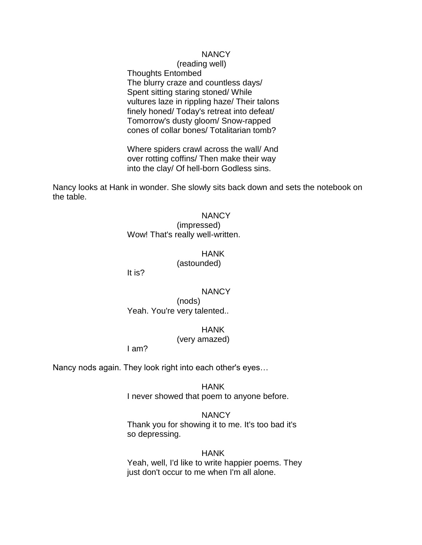(reading well) Thoughts Entombed The blurry craze and countless days/ Spent sitting staring stoned/ While vultures laze in rippling haze/ Their talons finely honed/ Today's retreat into defeat/ Tomorrow's dusty gloom/ Snow-rapped cones of collar bones/ Totalitarian tomb?

Where spiders crawl across the wall/ And over rotting coffins/ Then make their way into the clay/ Of hell-born Godless sins.

Nancy looks at Hank in wonder. She slowly sits back down and sets the notebook on the table.

### **NANCY**

(impressed) Wow! That's really well-written.

#### HANK

(astounded)

It is?

#### **NANCY**

(nods) Yeah. You're very talented..

#### HANK

#### (very amazed)

I am?

Nancy nods again. They look right into each other's eyes…

HANK I never showed that poem to anyone before.

**NANCY** Thank you for showing it to me. It's too bad it's so depressing.

HANK Yeah, well, I'd like to write happier poems. They just don't occur to me when I'm all alone.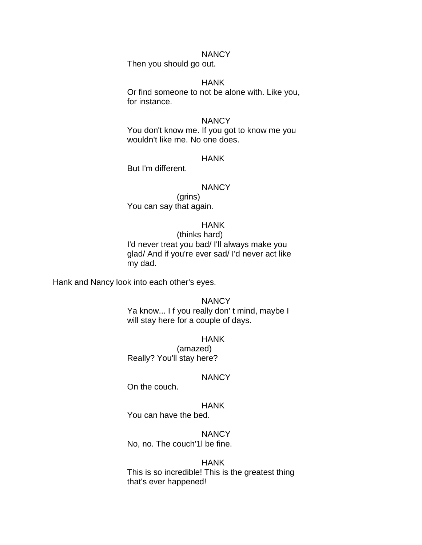Then you should go out.

#### HANK

Or find someone to not be alone with. Like you, for instance.

#### **NANCY**

You don't know me. If you got to know me you wouldn't like me. No one does.

#### HANK

But I'm different.

#### **NANCY**

(grins) You can say that again.

#### HANK

(thinks hard) I'd never treat you bad/ I'll always make you glad/ And if you're ever sad/ I'd never act like my dad.

Hank and Nancy look into each other's eyes.

#### **NANCY**

Ya know... I f you really don't mind, maybe I will stay here for a couple of days.

#### HANK

(amazed) Really? You'll stay here?

#### **NANCY**

On the couch.

#### HANK

You can have the bed.

#### **NANCY**

No, no. The couch'1l be fine.

#### HANK

This is so incredible! This is the greatest thing that's ever happened!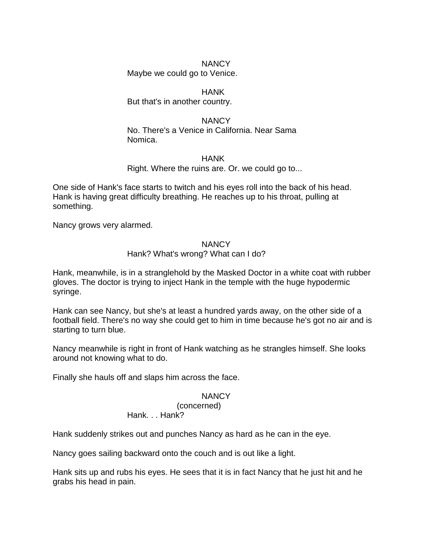Maybe we could go to Venice.

### HANK

But that's in another country.

### **NANCY** No. There's a Venice in California. Near Sama Nomica.

### HANK

Right. Where the ruins are. Or. we could go to...

One side of Hank's face starts to twitch and his eyes roll into the back of his head. Hank is having great difficulty breathing. He reaches up to his throat, pulling at something.

Nancy grows very alarmed.

### **NANCY**

### Hank? What's wrong? What can I do?

Hank, meanwhile, is in a stranglehold by the Masked Doctor in a white coat with rubber gloves. The doctor is trying to inject Hank in the temple with the huge hypodermic syringe.

Hank can see Nancy, but she's at least a hundred yards away, on the other side of a football field. There's no way she could get to him in time because he's got no air and is starting to turn blue.

Nancy meanwhile is right in front of Hank watching as he strangles himself. She looks around not knowing what to do.

Finally she hauls off and slaps him across the face.

## **NANCY**

(concerned)

# Hank. . . Hank?

Hank suddenly strikes out and punches Nancy as hard as he can in the eye.

Nancy goes sailing backward onto the couch and is out like a light.

Hank sits up and rubs his eyes. He sees that it is in fact Nancy that he just hit and he grabs his head in pain.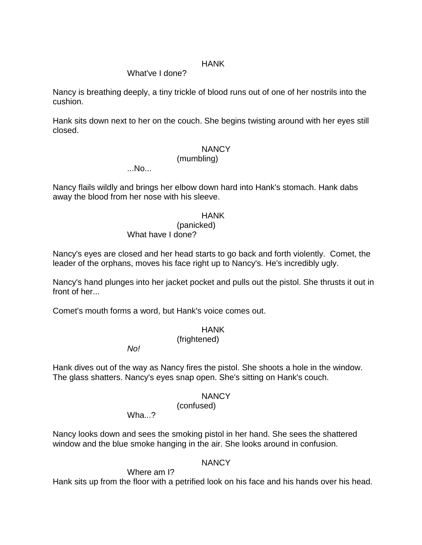### What've I done?

Nancy is breathing deeply, a tiny trickle of blood runs out of one of her nostrils into the cushion.

Hank sits down next to her on the couch. She begins twisting around with her eyes still closed.

### **NANCY**

#### (mumbling)

...No...

Nancy flails wildly and brings her elbow down hard into Hank's stomach. Hank dabs away the blood from her nose with his sleeve.

#### HANK

(panicked)

What have I done?

Nancy's eyes are closed and her head starts to go back and forth violently. Comet, the leader of the orphans, moves his face right up to Nancy's. He's incredibly ugly.

Nancy's hand plunges into her jacket pocket and pulls out the pistol. She thrusts it out in front of her...

Comet's mouth forms a word, but Hank's voice comes out.

### HANK

(frightened)

*No!*

Hank dives out of the way as Nancy fires the pistol. She shoots a hole in the window. The glass shatters. Nancy's eyes snap open. She's sitting on Hank's couch.

### NANCY

(confused)

Wha ?

Nancy looks down and sees the smoking pistol in her hand. She sees the shattered window and the blue smoke hanging in the air. She looks around in confusion.

### **NANCY**

Where am I?

Hank sits up from the floor with a petrified look on his face and his hands over his head.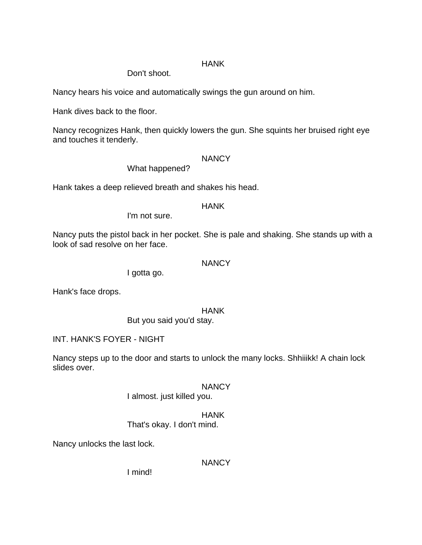Don't shoot.

Nancy hears his voice and automatically swings the gun around on him.

Hank dives back to the floor.

Nancy recognizes Hank, then quickly lowers the gun. She squints her bruised right eye and touches it tenderly.

### **NANCY**

What happened?

Hank takes a deep relieved breath and shakes his head.

### **HANK**

I'm not sure.

Nancy puts the pistol back in her pocket. She is pale and shaking. She stands up with a look of sad resolve on her face.

### **NANCY**

I gotta go.

Hank's face drops.

HANK

But you said you'd stay.

INT. HANK'S FOYER - NIGHT

Nancy steps up to the door and starts to unlock the many locks. Shhiiikk! A chain lock slides over.

## **NANCY**

I almost. just killed you.

## HANK

That's okay. I don't mind.

Nancy unlocks the last lock.

## **NANCY**

I mind!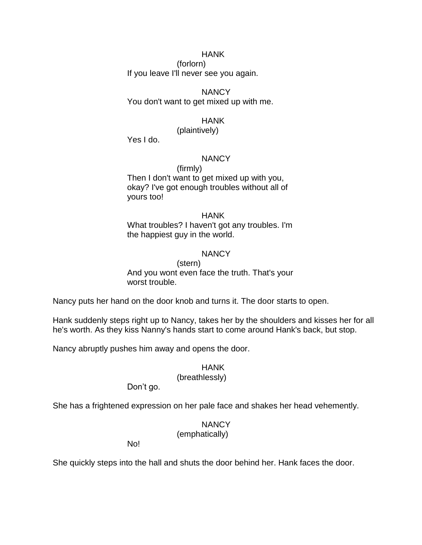(forlorn) If you leave I'll never see you again.

## **NANCY**

You don't want to get mixed up with me.

## HANK

(plaintively)

Yes I do.

### **NANCY**

(firmly) Then I don't want to get mixed up with you, okay? I've got enough troubles without all of

yours too!

#### HANK

What troubles? I haven't got any troubles. I'm the happiest guy in the world.

### **NANCY**

(stern) And you wont even face the truth. That's your worst trouble.

Nancy puts her hand on the door knob and turns it. The door starts to open.

Hank suddenly steps right up to Nancy, takes her by the shoulders and kisses her for all he's worth. As they kiss Nanny's hands start to come around Hank's back, but stop.

Nancy abruptly pushes him away and opens the door.

### HANK

## (breathlessly)

Don't go.

She has a frightened expression on her pale face and shakes her head vehemently.

## **NANCY**

(emphatically)

No!

She quickly steps into the hall and shuts the door behind her. Hank faces the door.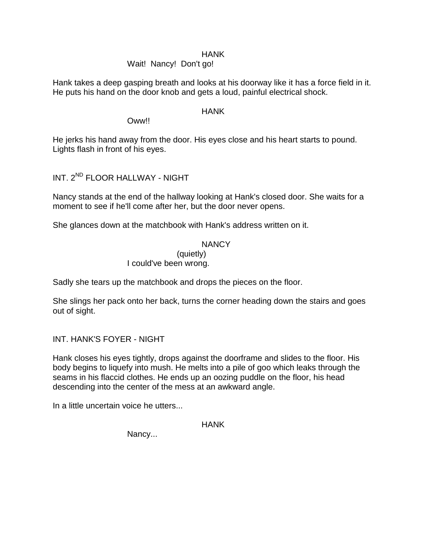### Wait! Nancy! Don't go!

Hank takes a deep gasping breath and looks at his doorway like it has a force field in it. He puts his hand on the door knob and gets a loud, painful electrical shock.

### HANK

### Oww!!

He jerks his hand away from the door. His eyes close and his heart starts to pound. Lights flash in front of his eyes.

INT. 2ND FLOOR HALLWAY - NIGHT

Nancy stands at the end of the hallway looking at Hank's closed door. She waits for a moment to see if he'll come after her, but the door never opens.

She glances down at the matchbook with Hank's address written on it.

## **NANCY**

# (quietly)

## I could've been wrong.

Sadly she tears up the matchbook and drops the pieces on the floor.

She slings her pack onto her back, turns the corner heading down the stairs and goes out of sight.

INT. HANK'S FOYER - NIGHT

Hank closes his eyes tightly, drops against the doorframe and slides to the floor. His body begins to liquefy into mush. He melts into a pile of goo which leaks through the seams in his flaccid clothes. He ends up an oozing puddle on the floor, his head descending into the center of the mess at an awkward angle.

In a little uncertain voice he utters...

HANK

Nancy...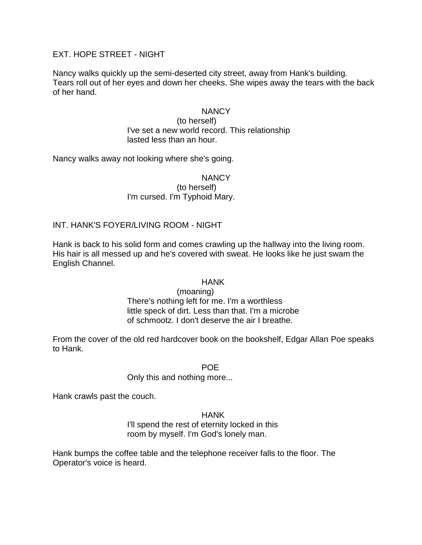## EXT. HOPE STREET - NIGHT

Nancy walks quickly up the semi-deserted city street, away from Hank's building. Tears roll out of her eyes and down her cheeks. She wipes away the tears with the back of her hand.

#### **NANCY**

(to herself) I've set a new world record. This relationship lasted less than an hour.

Nancy walks away not looking where she's going.

**NANCY** 

(to herself) I'm cursed. I'm Typhoid Mary.

INT. HANK'S FOYER/LIVING ROOM - NIGHT

Hank is back to his solid form and comes crawling up the hallway into the living room. His hair is all messed up and he's covered with sweat. He looks like he just swam the English Channel.

#### **HANK**

(moaning) There's nothing left for me. I'm a worthless little speck of dirt. Less than that. I'm a microbe of schmootz. I don't deserve the air I breathe.

From the cover of the old red hardcover book on the bookshelf, Edgar Allan Poe speaks to Hank.

POE

Only this and nothing more...

Hank crawls past the couch.

HANK

I'll spend the rest of eternity locked in this room by myself. I'm God's lonely man.

Hank bumps the coffee table and the telephone receiver falls to the floor. The Operator's voice is heard.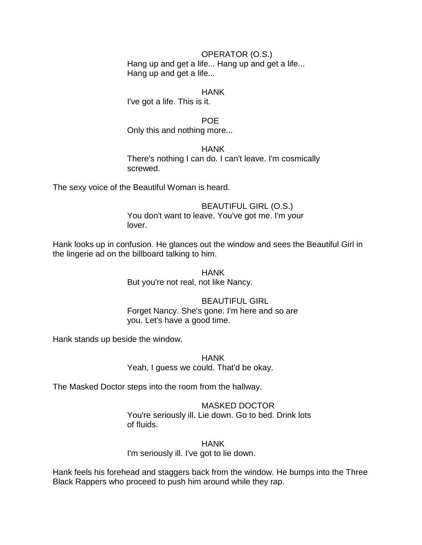#### OPERATOR (O.S.)

Hang up and get a life... Hang up and get a life... Hang up and get a life...

#### **HANK**

I've got a life. This is it.

POE

Only this and nothing more...

**HANK** There's nothing I can do. I can't leave. I'm cosmically screwed.

The sexy voice of the Beautiful Woman is heard.

#### BEAUTIFUL GIRL (O.S.) You don't want to leave. You've got me. I'm your

lover.

Hank looks up in confusion. He glances out the window and sees the Beautiful Girl in the lingerie ad on the billboard talking to him.

> HANK But you're not real, not like Nancy.

## BEAUTIFUL GIRL

Forget Nancy. She's gone. I'm here and so are you. Let's have a good time.

Hank stands up beside the window.

HANK Yeah, I guess we could. That'd be okay.

The Masked Doctor steps into the room from the hallway.

#### MASKED DOCTOR

You're seriously ill. Lie down. Go to bed. Drink lots of fluids.

**HANK** 

I'm seriously ill. I've got to lie down.

Hank feels his forehead and staggers back from the window. He bumps into the Three Black Rappers who proceed to push him around while they rap.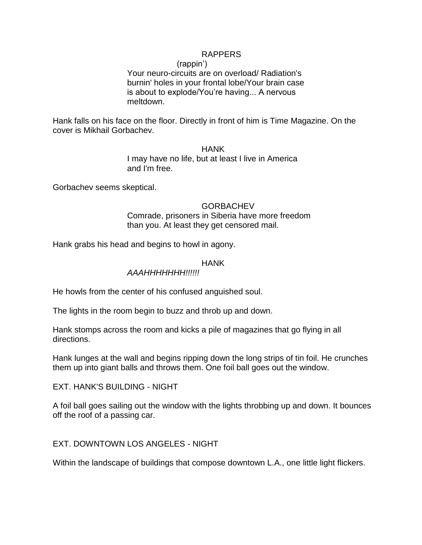### RAPPERS

(rappin')

Your neuro-circuits are on overload/ Radiation's burnin' holes in your frontal lobe/Your brain case is about to explode/You're having... A nervous meltdown.

Hank falls on his face on the floor. Directly in front of him is Time Magazine. On the cover is Mikhail Gorbachev.

> **HANK** I may have no life, but at least I live in America and I'm free.

Gorbachev seems skeptical.

**GORBACHEV** Comrade, prisoners in Siberia have more freedom than you. At least they get censored mail.

Hank grabs his head and begins to howl in agony.

#### HANK

### *AAAHHHHHHH!!!!!!*

He howls from the center of his confused anguished soul.

The lights in the room begin to buzz and throb up and down.

Hank stomps across the room and kicks a pile of magazines that go flying in all directions.

Hank lunges at the wall and begins ripping down the long strips of tin foil. He crunches them up into giant balls and throws them. One foil ball goes out the window.

EXT. HANK'S BUILDING - NIGHT

A foil ball goes sailing out the window with the lights throbbing up and down. It bounces off the roof of a passing car.

EXT. DOWNTOWN LOS ANGELES - NIGHT

Within the landscape of buildings that compose downtown L.A., one little light flickers.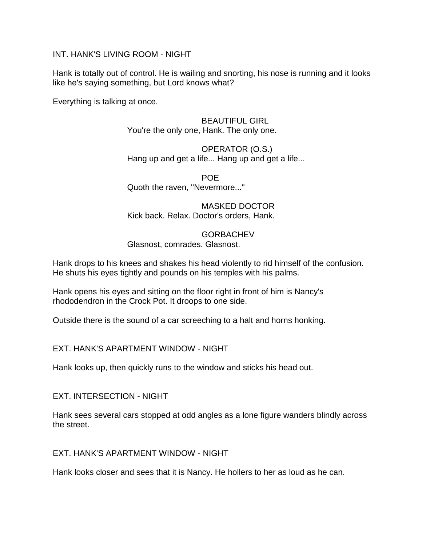### INT. HANK'S LIVING ROOM - NIGHT

Hank is totally out of control. He is wailing and snorting, his nose is running and it looks like he's saying something, but Lord knows what?

Everything is talking at once.

### BEAUTIFUL GIRL You're the only one, Hank. The only one.

OPERATOR (O.S.) Hang up and get a life... Hang up and get a life...

POE Quoth the raven, "Nevermore..."

MASKED DOCTOR Kick back. Relax. Doctor's orders, Hank.

**GORBACHEV** Glasnost, comrades. Glasnost.

Hank drops to his knees and shakes his head violently to rid himself of the confusion. He shuts his eyes tightly and pounds on his temples with his palms.

Hank opens his eyes and sitting on the floor right in front of him is Nancy's rhododendron in the Crock Pot. It droops to one side.

Outside there is the sound of a car screeching to a halt and horns honking.

EXT. HANK'S APARTMENT WINDOW - NIGHT

Hank looks up, then quickly runs to the window and sticks his head out.

EXT. INTERSECTION - NIGHT

Hank sees several cars stopped at odd angles as a lone figure wanders blindly across the street.

EXT. HANK'S APARTMENT WINDOW - NIGHT

Hank looks closer and sees that it is Nancy. He hollers to her as loud as he can.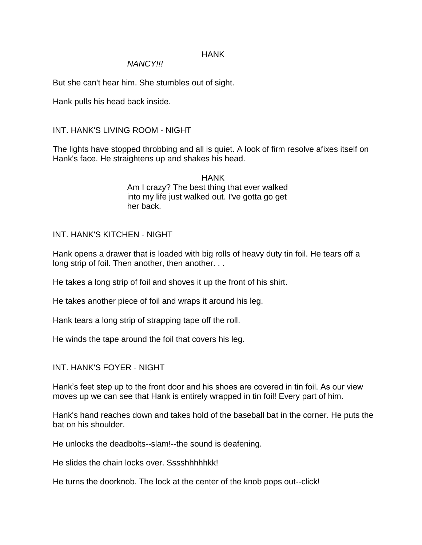#### *NANCY!!!*

But she can't hear him. She stumbles out of sight.

Hank pulls his head back inside.

## INT. HANK'S LIVING ROOM - NIGHT

The lights have stopped throbbing and all is quiet. A look of firm resolve afixes itself on Hank's face. He straightens up and shakes his head.

> **HANK** Am I crazy? The best thing that ever walked into my life just walked out. I've gotta go get her back.

## INT. HANK'S KITCHEN - NIGHT

Hank opens a drawer that is loaded with big rolls of heavy duty tin foil. He tears off a long strip of foil. Then another, then another. . .

He takes a long strip of foil and shoves it up the front of his shirt.

He takes another piece of foil and wraps it around his leg.

Hank tears a long strip of strapping tape off the roll.

He winds the tape around the foil that covers his leg.

## INT. HANK'S FOYER - NIGHT

Hank's feet step up to the front door and his shoes are covered in tin foil. As our view moves up we can see that Hank is entirely wrapped in tin foil! Every part of him.

Hank's hand reaches down and takes hold of the baseball bat in the corner. He puts the bat on his shoulder.

He unlocks the deadbolts--slam!--the sound is deafening.

He slides the chain locks over. Sssshhhhhkk!

He turns the doorknob. The lock at the center of the knob pops out--click!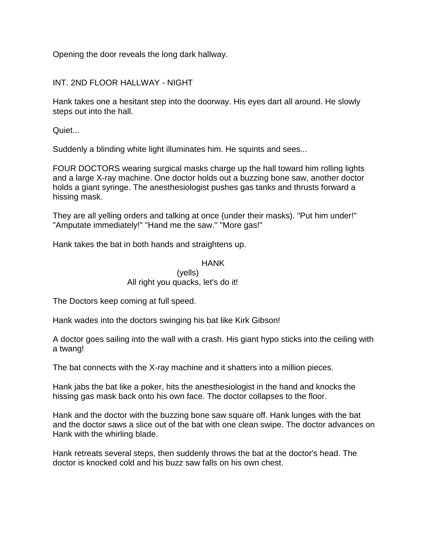Opening the door reveals the long dark hallway.

INT. 2ND FLOOR HALLWAY - NIGHT

Hank takes one a hesitant step into the doorway. His eyes dart all around. He slowly steps out into the hall.

Quiet...

Suddenly a blinding white light illuminates him. He squints and sees...

FOUR DOCTORS wearing surgical masks charge up the hall toward him rolling lights and a large X-ray machine. One doctor holds out a buzzing bone saw, another doctor holds a giant syringe. The anesthesiologist pushes gas tanks and thrusts forward a hissing mask.

They are all yelling orders and talking at once (under their masks). "Put him under!" "Amputate immediately!" "Hand me the saw." "More gas!"

Hank takes the bat in both hands and straightens up.

### HANK

#### (yells) All right you quacks, let's do it!

The Doctors keep coming at full speed.

Hank wades into the doctors swinging his bat like Kirk Gibson!

A doctor goes sailing into the wall with a crash. His giant hypo sticks into the ceiling with a twang!

The bat connects with the X-ray machine and it shatters into a million pieces.

Hank jabs the bat like a poker, hits the anesthesiologist in the hand and knocks the hissing gas mask back onto his own face. The doctor collapses to the floor.

Hank and the doctor with the buzzing bone saw square off. Hank lunges with the bat and the doctor saws a slice out of the bat with one clean swipe. The doctor advances on Hank with the whirling blade.

Hank retreats several steps, then suddenly throws the bat at the doctor's head. The doctor is knocked cold and his buzz saw falls on his own chest.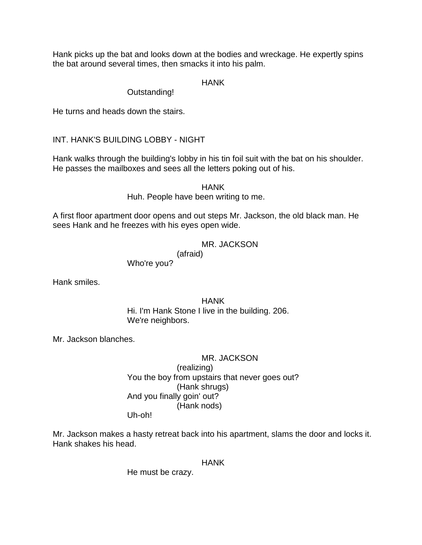Hank picks up the bat and looks down at the bodies and wreckage. He expertly spins the bat around several times, then smacks it into his palm.

## HANK

### Outstanding!

He turns and heads down the stairs.

## INT. HANK'S BUILDING LOBBY - NIGHT

Hank walks through the building's lobby in his tin foil suit with the bat on his shoulder. He passes the mailboxes and sees all the letters poking out of his.

HANK

Huh. People have been writing to me.

A first floor apartment door opens and out steps Mr. Jackson, the old black man. He sees Hank and he freezes with his eyes open wide.

## MR. JACKSON

(afraid)

Who're you?

Hank smiles.

## HANK Hi. I'm Hank Stone I live in the building. 206. We're neighbors.

Mr. Jackson blanches.

# MR. JACKSON

## (realizing) You the boy from upstairs that never goes out? (Hank shrugs) And you finally goin' out? (Hank nods) Uh-oh!

Mr. Jackson makes a hasty retreat back into his apartment, slams the door and locks it. Hank shakes his head.

## HANK

He must be crazy.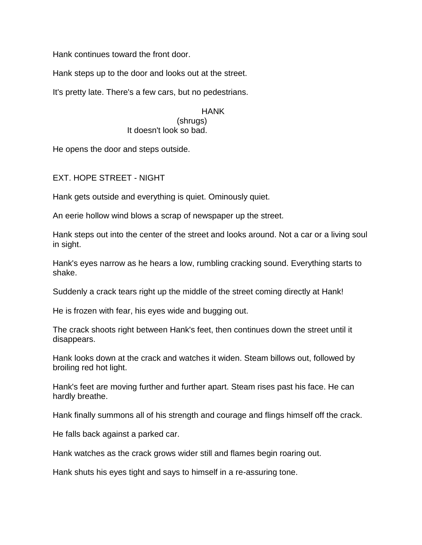Hank continues toward the front door.

Hank steps up to the door and looks out at the street.

It's pretty late. There's a few cars, but no pedestrians.

### HANK

(shrugs) It doesn't look so bad.

He opens the door and steps outside.

EXT. HOPE STREET - NIGHT

Hank gets outside and everything is quiet. Ominously quiet.

An eerie hollow wind blows a scrap of newspaper up the street.

Hank steps out into the center of the street and looks around. Not a car or a living soul in sight.

Hank's eyes narrow as he hears a low, rumbling cracking sound. Everything starts to shake.

Suddenly a crack tears right up the middle of the street coming directly at Hank!

He is frozen with fear, his eyes wide and bugging out.

The crack shoots right between Hank's feet, then continues down the street until it disappears.

Hank looks down at the crack and watches it widen. Steam billows out, followed by broiling red hot light.

Hank's feet are moving further and further apart. Steam rises past his face. He can hardly breathe.

Hank finally summons all of his strength and courage and flings himself off the crack.

He falls back against a parked car.

Hank watches as the crack grows wider still and flames begin roaring out.

Hank shuts his eyes tight and says to himself in a re-assuring tone.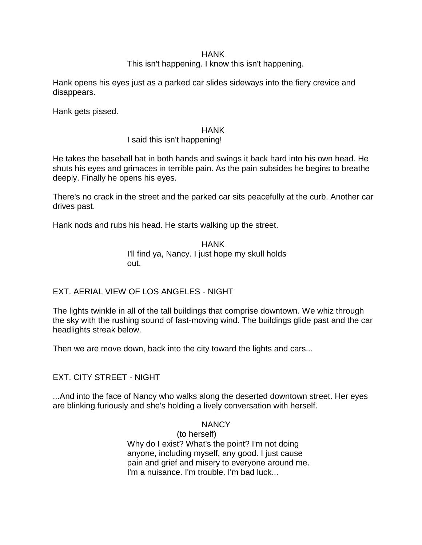## This isn't happening. I know this isn't happening.

Hank opens his eyes just as a parked car slides sideways into the fiery crevice and disappears.

Hank gets pissed.

### **HANK**

## I said this isn't happening!

He takes the baseball bat in both hands and swings it back hard into his own head. He shuts his eyes and grimaces in terrible pain. As the pain subsides he begins to breathe deeply. Finally he opens his eyes.

There's no crack in the street and the parked car sits peacefully at the curb. Another car drives past.

Hank nods and rubs his head. He starts walking up the street.

HANK I'll find ya, Nancy. I just hope my skull holds out.

## EXT. AERIAL VIEW OF LOS ANGELES - NIGHT

The lights twinkle in all of the tall buildings that comprise downtown. We whiz through the sky with the rushing sound of fast-moving wind. The buildings glide past and the car headlights streak below.

Then we are move down, back into the city toward the lights and cars...

## EXT. CITY STREET - NIGHT

...And into the face of Nancy who walks along the deserted downtown street. Her eyes are blinking furiously and she's holding a lively conversation with herself.

### **NANCY**

(to herself) Why do I exist? What's the point? I'm not doing anyone, including myself, any good. I just cause pain and grief and misery to everyone around me. I'm a nuisance. I'm trouble. I'm bad luck...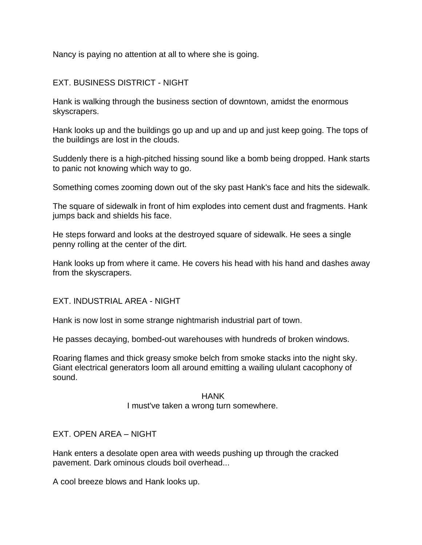Nancy is paying no attention at all to where she is going.

## EXT. BUSINESS DISTRICT - NIGHT

Hank is walking through the business section of downtown, amidst the enormous skyscrapers.

Hank looks up and the buildings go up and up and up and just keep going. The tops of the buildings are lost in the clouds.

Suddenly there is a high-pitched hissing sound like a bomb being dropped. Hank starts to panic not knowing which way to go.

Something comes zooming down out of the sky past Hank's face and hits the sidewalk.

The square of sidewalk in front of him explodes into cement dust and fragments. Hank jumps back and shields his face.

He steps forward and looks at the destroyed square of sidewalk. He sees a single penny rolling at the center of the dirt.

Hank looks up from where it came. He covers his head with his hand and dashes away from the skyscrapers.

EXT. INDUSTRIAL AREA - NIGHT

Hank is now lost in some strange nightmarish industrial part of town.

He passes decaying, bombed-out warehouses with hundreds of broken windows.

Roaring flames and thick greasy smoke belch from smoke stacks into the night sky. Giant electrical generators loom all around emitting a wailing ululant cacophony of sound.

### **HANK**

### I must've taken a wrong turn somewhere.

## EXT. OPEN AREA – NIGHT

Hank enters a desolate open area with weeds pushing up through the cracked pavement. Dark ominous clouds boil overhead...

A cool breeze blows and Hank looks up.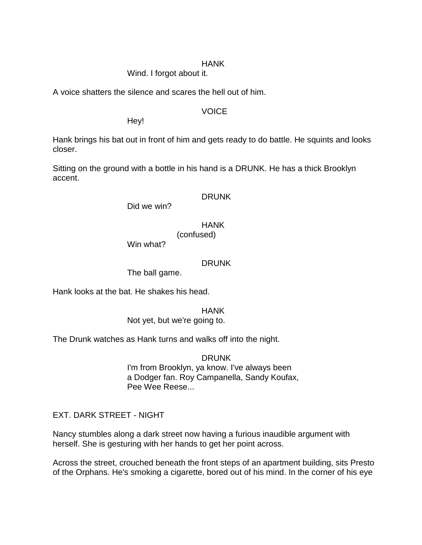### Wind. I forgot about it.

A voice shatters the silence and scares the hell out of him.

### VOICE

Hey!

Hank brings his bat out in front of him and gets ready to do battle. He squints and looks closer.

Sitting on the ground with a bottle in his hand is a DRUNK. He has a thick Brooklyn accent.

### DRUNK

Did we win?

## **HANK**

(confused)

Win what?

## DRUNK

The ball game.

Hank looks at the bat. He shakes his head.

### HANK

Not yet, but we're going to.

The Drunk watches as Hank turns and walks off into the night.

DRUNK I'm from Brooklyn, ya know. I've always been a Dodger fan. Roy Campanella, Sandy Koufax, Pee Wee Reese...

## EXT. DARK STREET - NIGHT

Nancy stumbles along a dark street now having a furious inaudible argument with herself. She is gesturing with her hands to get her point across.

Across the street, crouched beneath the front steps of an apartment building, sits Presto of the Orphans. He's smoking a cigarette, bored out of his mind. In the corner of his eye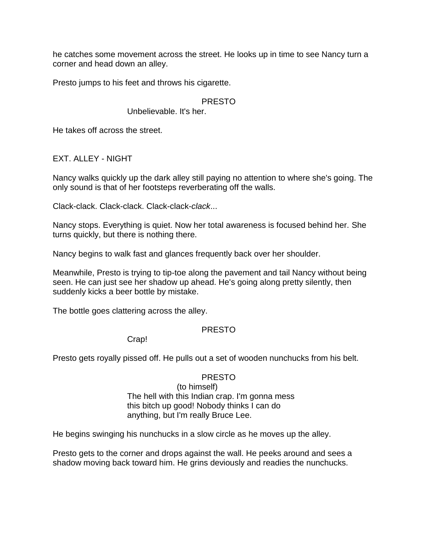he catches some movement across the street. He looks up in time to see Nancy turn a corner and head down an alley.

Presto jumps to his feet and throws his cigarette.

## PRESTO

### Unbelievable. It's her.

He takes off across the street.

EXT. ALLEY - NIGHT

Nancy walks quickly up the dark alley still paying no attention to where she's going. The only sound is that of her footsteps reverberating off the walls.

Clack-clack. Clack-clack. Clack-clack-*clack*...

Nancy stops. Everything is quiet. Now her total awareness is focused behind her. She turns quickly, but there is nothing there.

Nancy begins to walk fast and glances frequently back over her shoulder.

Meanwhile, Presto is trying to tip-toe along the pavement and tail Nancy without being seen. He can just see her shadow up ahead. He's going along pretty silently, then suddenly kicks a beer bottle by mistake.

The bottle goes clattering across the alley.

## PRESTO

Crap!

Presto gets royally pissed off. He pulls out a set of wooden nunchucks from his belt.

### PRESTO

(to himself) The hell with this Indian crap. I'm gonna mess this bitch up good! Nobody thinks I can do anything, but I'm really Bruce Lee.

He begins swinging his nunchucks in a slow circle as he moves up the alley.

Presto gets to the corner and drops against the wall. He peeks around and sees a shadow moving back toward him. He grins deviously and readies the nunchucks.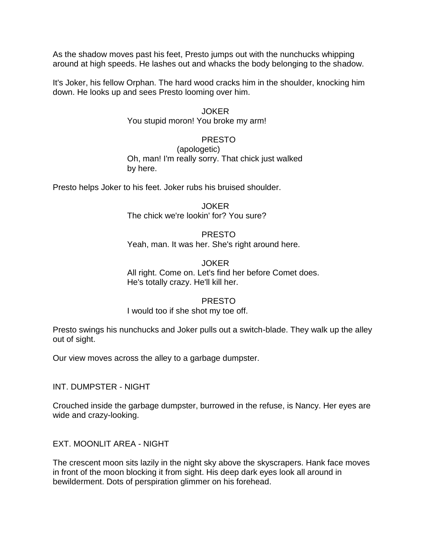As the shadow moves past his feet, Presto jumps out with the nunchucks whipping around at high speeds. He lashes out and whacks the body belonging to the shadow.

It's Joker, his fellow Orphan. The hard wood cracks him in the shoulder, knocking him down. He looks up and sees Presto looming over him.

#### JOKER

You stupid moron! You broke my arm!

### PRESTO

(apologetic) Oh, man! I'm really sorry. That chick just walked by here.

Presto helps Joker to his feet. Joker rubs his bruised shoulder.

JOKER The chick we're lookin' for? You sure?

## PRESTO Yeah, man. It was her. She's right around here.

JOKER All right. Come on. Let's find her before Comet does. He's totally crazy. He'll kill her.

### PRESTO

### I would too if she shot my toe off.

Presto swings his nunchucks and Joker pulls out a switch-blade. They walk up the alley out of sight.

Our view moves across the alley to a garbage dumpster.

INT. DUMPSTER - NIGHT

Crouched inside the garbage dumpster, burrowed in the refuse, is Nancy. Her eyes are wide and crazy-looking.

EXT. MOONLIT AREA - NIGHT

The crescent moon sits lazily in the night sky above the skyscrapers. Hank face moves in front of the moon blocking it from sight. His deep dark eyes look all around in bewilderment. Dots of perspiration glimmer on his forehead.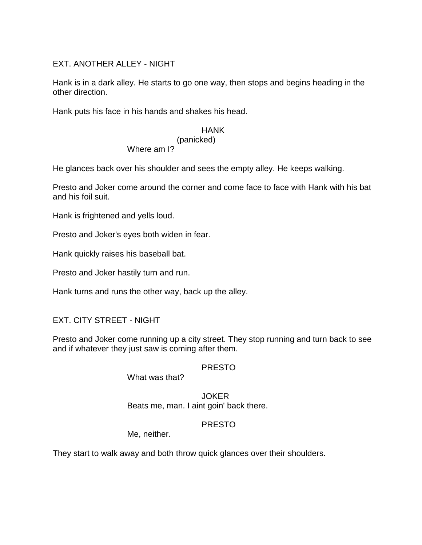## EXT. ANOTHER ALLEY - NIGHT

Hank is in a dark alley. He starts to go one way, then stops and begins heading in the other direction.

Hank puts his face in his hands and shakes his head.

## HANK

# (panicked)

# Where am I?

He glances back over his shoulder and sees the empty alley. He keeps walking.

Presto and Joker come around the corner and come face to face with Hank with his bat and his foil suit.

Hank is frightened and yells loud.

Presto and Joker's eyes both widen in fear.

Hank quickly raises his baseball bat.

Presto and Joker hastily turn and run.

Hank turns and runs the other way, back up the alley.

## EXT. CITY STREET - NIGHT

Presto and Joker come running up a city street. They stop running and turn back to see and if whatever they just saw is coming after them.

## PRESTO

What was that?

JOKER Beats me, man. I aint goin' back there.

## PRESTO

Me, neither.

They start to walk away and both throw quick glances over their shoulders.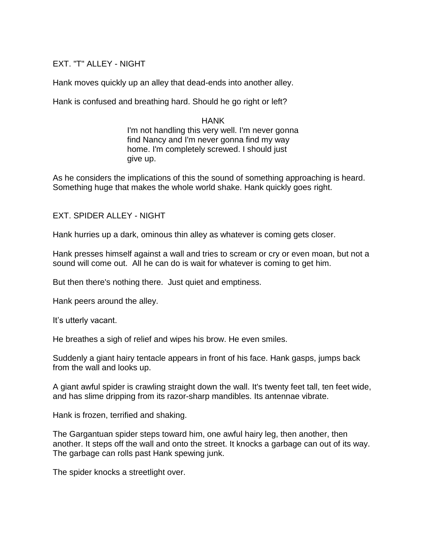## EXT. "T" ALLEY - NIGHT

Hank moves quickly up an alley that dead-ends into another alley.

Hank is confused and breathing hard. Should he go right or left?

## HANK I'm not handling this very well. I'm never gonna find Nancy and I'm never gonna find my way home. I'm completely screwed. I should just give up.

As he considers the implications of this the sound of something approaching is heard. Something huge that makes the whole world shake. Hank quickly goes right.

### EXT. SPIDER ALLEY - NIGHT

Hank hurries up a dark, ominous thin alley as whatever is coming gets closer.

Hank presses himself against a wall and tries to scream or cry or even moan, but not a sound will come out. All he can do is wait for whatever is coming to get him.

But then there's nothing there. Just quiet and emptiness.

Hank peers around the alley.

It's utterly vacant.

He breathes a sigh of relief and wipes his brow. He even smiles.

Suddenly a giant hairy tentacle appears in front of his face. Hank gasps, jumps back from the wall and looks up.

A giant awful spider is crawling straight down the wall. It's twenty feet tall, ten feet wide, and has slime dripping from its razor-sharp mandibles. Its antennae vibrate.

Hank is frozen, terrified and shaking.

The Gargantuan spider steps toward him, one awful hairy leg, then another, then another. It steps off the wall and onto the street. It knocks a garbage can out of its way. The garbage can rolls past Hank spewing junk.

The spider knocks a streetlight over.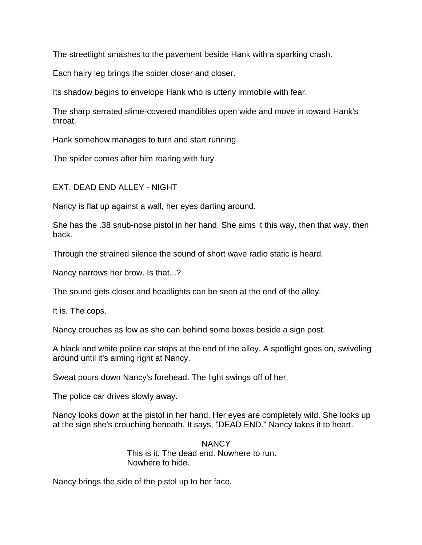The streetlight smashes to the pavement beside Hank with a sparking crash.

Each hairy leg brings the spider closer and closer.

Its shadow begins to envelope Hank who is utterly immobile with fear.

The sharp serrated slime-covered mandibles open wide and move in toward Hank's throat.

Hank somehow manages to turn and start running.

The spider comes after him roaring with fury.

EXT. DEAD END ALLEY - NIGHT

Nancy is flat up against a wall, her eyes darting around.

She has the .38 snub-nose pistol in her hand. She aims it this way, then that way, then back.

Through the strained silence the sound of short wave radio static is heard.

Nancy narrows her brow. Is that...?

The sound gets closer and headlights can be seen at the end of the alley.

It is. The cops.

Nancy crouches as low as she can behind some boxes beside a sign post.

A black and white police car stops at the end of the alley. A spotlight goes on, swiveling around until it's aiming right at Nancy.

Sweat pours down Nancy's forehead. The light swings off of her.

The police car drives slowly away.

Nancy looks down at the pistol in her hand. Her eyes are completely wild. She looks up at the sign she's crouching beneath. It says, "DEAD END." Nancy takes it to heart.

> **NANCY** This is it. The dead end. Nowhere to run. Nowhere to hide.

Nancy brings the side of the pistol up to her face.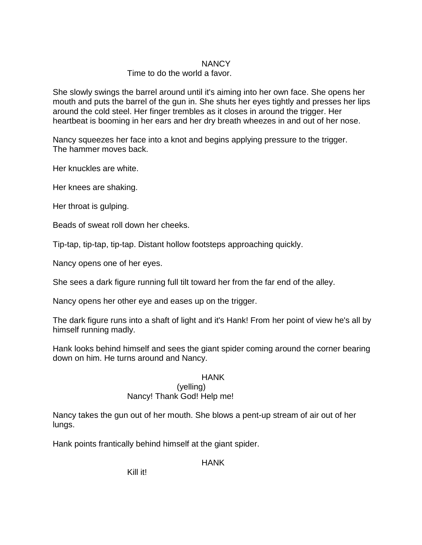## **NANCY**

# Time to do the world a favor.

She slowly swings the barrel around until it's aiming into her own face. She opens her mouth and puts the barrel of the gun in. She shuts her eyes tightly and presses her lips around the cold steel. Her finger trembles as it closes in around the trigger. Her heartbeat is booming in her ears and her dry breath wheezes in and out of her nose.

Nancy squeezes her face into a knot and begins applying pressure to the trigger. The hammer moves back.

Her knuckles are white.

Her knees are shaking.

Her throat is gulping.

Beads of sweat roll down her cheeks.

Tip-tap, tip-tap, tip-tap. Distant hollow footsteps approaching quickly.

Nancy opens one of her eyes.

She sees a dark figure running full tilt toward her from the far end of the alley.

Nancy opens her other eye and eases up on the trigger.

The dark figure runs into a shaft of light and it's Hank! From her point of view he's all by himself running madly.

Hank looks behind himself and sees the giant spider coming around the corner bearing down on him. He turns around and Nancy.

## HANK

#### (yelling) Nancy! Thank God! Help me!

Nancy takes the gun out of her mouth. She blows a pent-up stream of air out of her lungs.

Hank points frantically behind himself at the giant spider.

HANK

Kill it!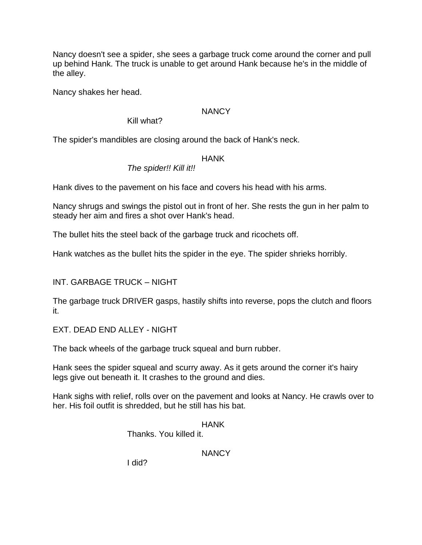Nancy doesn't see a spider, she sees a garbage truck come around the corner and pull up behind Hank. The truck is unable to get around Hank because he's in the middle of the alley.

Nancy shakes her head.

# **NANCY**

Kill what?

The spider's mandibles are closing around the back of Hank's neck.

### HANK

# *The spider!! Kill it!!*

Hank dives to the pavement on his face and covers his head with his arms.

Nancy shrugs and swings the pistol out in front of her. She rests the gun in her palm to steady her aim and fires a shot over Hank's head.

The bullet hits the steel back of the garbage truck and ricochets off.

Hank watches as the bullet hits the spider in the eye. The spider shrieks horribly.

INT. GARBAGE TRUCK – NIGHT

The garbage truck DRIVER gasps, hastily shifts into reverse, pops the clutch and floors it.

EXT. DEAD END ALLEY - NIGHT

The back wheels of the garbage truck squeal and burn rubber.

Hank sees the spider squeal and scurry away. As it gets around the corner it's hairy legs give out beneath it. It crashes to the ground and dies.

Hank sighs with relief, rolls over on the pavement and looks at Nancy. He crawls over to her. His foil outfit is shredded, but he still has his bat.

HANK

Thanks. You killed it.

**NANCY** 

I did?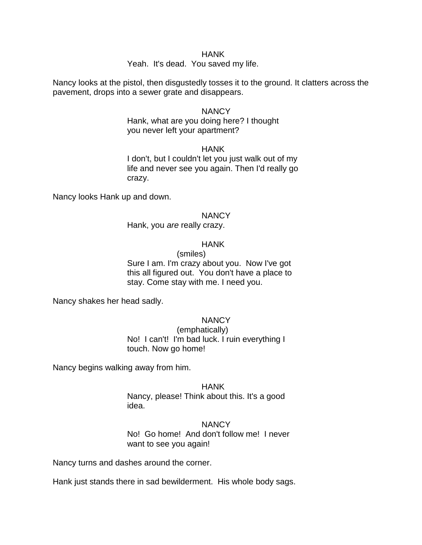#### HANK

#### Yeah. It's dead. You saved my life.

Nancy looks at the pistol, then disgustedly tosses it to the ground. It clatters across the pavement, drops into a sewer grate and disappears.

#### **NANCY**

Hank, what are you doing here? I thought you never left your apartment?

#### **HANK**

I don't, but I couldn't let you just walk out of my life and never see you again. Then I'd really go crazy.

Nancy looks Hank up and down.

#### **NANCY**

Hank, you *are* really crazy.

#### HANK

(smiles)

Sure I am. I'm crazy about you. Now I've got this all figured out. You don't have a place to stay. Come stay with me. I need you.

Nancy shakes her head sadly.

### **NANCY**

(emphatically) No! I can't! I'm bad luck. I ruin everything I touch. Now go home!

Nancy begins walking away from him.

#### HANK

Nancy, please! Think about this. It's a good idea.

**NANCY** No! Go home! And don't follow me! I never want to see you again!

Nancy turns and dashes around the corner.

Hank just stands there in sad bewilderment. His whole body sags.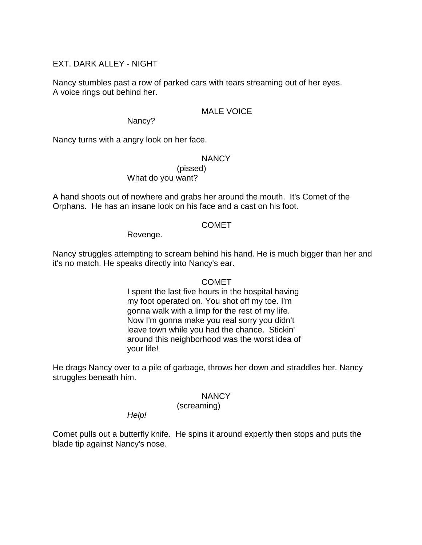# EXT. DARK ALLEY - NIGHT

Nancy stumbles past a row of parked cars with tears streaming out of her eyes. A voice rings out behind her.

### MALE VOICE

Nancy?

Nancy turns with a angry look on her face.

### **NANCY**

(pissed) What do you want?

A hand shoots out of nowhere and grabs her around the mouth. It's Comet of the Orphans. He has an insane look on his face and a cast on his foot.

### COMET

Revenge.

Nancy struggles attempting to scream behind his hand. He is much bigger than her and it's no match. He speaks directly into Nancy's ear.

### **COMET**

I spent the last five hours in the hospital having my foot operated on. You shot off my toe. I'm gonna walk with a limp for the rest of my life. Now I'm gonna make you real sorry you didn't leave town while you had the chance. Stickin' around this neighborhood was the worst idea of your life!

He drags Nancy over to a pile of garbage, throws her down and straddles her. Nancy struggles beneath him.

### NANCY

(screaming)

*Help!*

Comet pulls out a butterfly knife. He spins it around expertly then stops and puts the blade tip against Nancy's nose.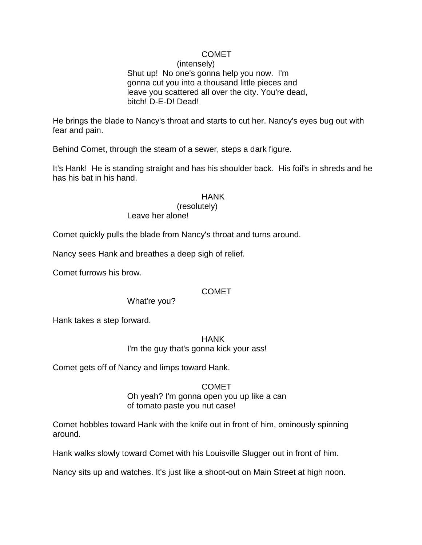# **COMET**

(intensely) Shut up! No one's gonna help you now. I'm gonna cut you into a thousand little pieces and leave you scattered all over the city. You're dead, bitch! D-E-D! Dead!

He brings the blade to Nancy's throat and starts to cut her. Nancy's eyes bug out with fear and pain.

Behind Comet, through the steam of a sewer, steps a dark figure.

It's Hank! He is standing straight and has his shoulder back. His foil's in shreds and he has his bat in his hand.

### HANK

(resolutely)

Leave her alone!

Comet quickly pulls the blade from Nancy's throat and turns around.

Nancy sees Hank and breathes a deep sigh of relief.

Comet furrows his brow.

### **COMET**

What're you?

Hank takes a step forward.

HANK I'm the guy that's gonna kick your ass!

Comet gets off of Nancy and limps toward Hank.

COMET Oh yeah? I'm gonna open you up like a can of tomato paste you nut case!

Comet hobbles toward Hank with the knife out in front of him, ominously spinning around.

Hank walks slowly toward Comet with his Louisville Slugger out in front of him.

Nancy sits up and watches. It's just like a shoot-out on Main Street at high noon.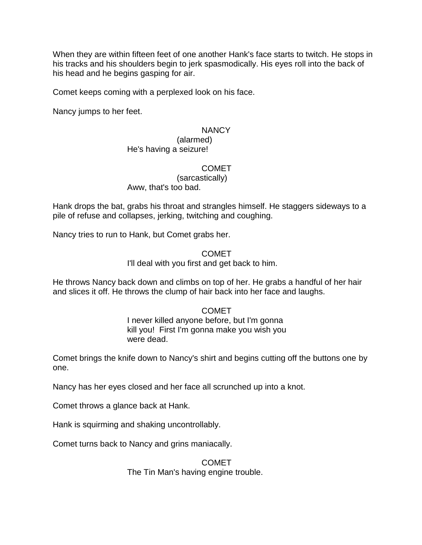When they are within fifteen feet of one another Hank's face starts to twitch. He stops in his tracks and his shoulders begin to jerk spasmodically. His eyes roll into the back of his head and he begins gasping for air.

Comet keeps coming with a perplexed look on his face.

Nancy jumps to her feet.

### **NANCY**

#### (alarmed) He's having a seizure!

### COMET

#### (sarcastically) Aww, that's too bad.

Hank drops the bat, grabs his throat and strangles himself. He staggers sideways to a pile of refuse and collapses, jerking, twitching and coughing.

Nancy tries to run to Hank, but Comet grabs her.

### COMET

I'll deal with you first and get back to him.

He throws Nancy back down and climbs on top of her. He grabs a handful of her hair and slices it off. He throws the clump of hair back into her face and laughs.

### COMET

I never killed anyone before, but I'm gonna kill you! First I'm gonna make you wish you were dead.

Comet brings the knife down to Nancy's shirt and begins cutting off the buttons one by one.

Nancy has her eyes closed and her face all scrunched up into a knot.

Comet throws a glance back at Hank.

Hank is squirming and shaking uncontrollably.

Comet turns back to Nancy and grins maniacally.

COMET The Tin Man's having engine trouble.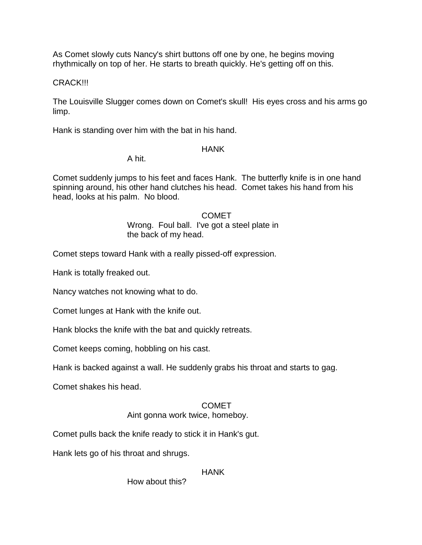As Comet slowly cuts Nancy's shirt buttons off one by one, he begins moving rhythmically on top of her. He starts to breath quickly. He's getting off on this.

### CRACK!!!

The Louisville Slugger comes down on Comet's skull! His eyes cross and his arms go limp.

Hank is standing over him with the bat in his hand.

### **HANK**

A hit.

Comet suddenly jumps to his feet and faces Hank. The butterfly knife is in one hand spinning around, his other hand clutches his head. Comet takes his hand from his head, looks at his palm. No blood.

### COMET Wrong. Foul ball. I've got a steel plate in

the back of my head.

Comet steps toward Hank with a really pissed-off expression.

Hank is totally freaked out.

Nancy watches not knowing what to do.

Comet lunges at Hank with the knife out.

Hank blocks the knife with the bat and quickly retreats.

Comet keeps coming, hobbling on his cast.

Hank is backed against a wall. He suddenly grabs his throat and starts to gag.

Comet shakes his head.

## COMET

### Aint gonna work twice, homeboy.

Comet pulls back the knife ready to stick it in Hank's gut.

Hank lets go of his throat and shrugs.

### HANK

How about this?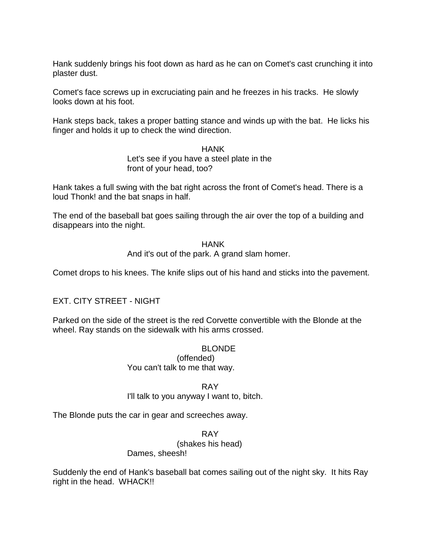Hank suddenly brings his foot down as hard as he can on Comet's cast crunching it into plaster dust.

Comet's face screws up in excruciating pain and he freezes in his tracks. He slowly looks down at his foot.

Hank steps back, takes a proper batting stance and winds up with the bat. He licks his finger and holds it up to check the wind direction.

> HANK Let's see if you have a steel plate in the front of your head, too?

Hank takes a full swing with the bat right across the front of Comet's head. There is a loud Thonk! and the bat snaps in half.

The end of the baseball bat goes sailing through the air over the top of a building and disappears into the night.

> HANK And it's out of the park. A grand slam homer.

Comet drops to his knees. The knife slips out of his hand and sticks into the pavement.

## EXT. CITY STREET - NIGHT

Parked on the side of the street is the red Corvette convertible with the Blonde at the wheel. Ray stands on the sidewalk with his arms crossed.

## BLONDE

(offended) You can't talk to me that way.

RAY

I'll talk to you anyway I want to, bitch.

The Blonde puts the car in gear and screeches away.

RAY

(shakes his head)

### Dames, sheesh!

Suddenly the end of Hank's baseball bat comes sailing out of the night sky. It hits Ray right in the head. WHACK!!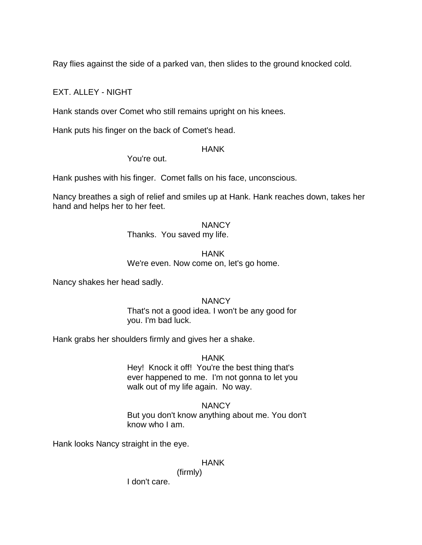Ray flies against the side of a parked van, then slides to the ground knocked cold.

# EXT. ALLEY - NIGHT

Hank stands over Comet who still remains upright on his knees.

Hank puts his finger on the back of Comet's head.

### **HANK**

You're out.

Hank pushes with his finger. Comet falls on his face, unconscious.

Nancy breathes a sigh of relief and smiles up at Hank. Hank reaches down, takes her hand and helps her to her feet.

### **NANCY**

Thanks. You saved my life.

HANK

We're even. Now come on, let's go home.

Nancy shakes her head sadly.

### **NANCY**

That's not a good idea. I won't be any good for you. I'm bad luck.

Hank grabs her shoulders firmly and gives her a shake.

### HANK

Hey! Knock it off! You're the best thing that's ever happened to me. I'm not gonna to let you walk out of my life again. No way.

## **NANCY**

But you don't know anything about me. You don't know who I am.

Hank looks Nancy straight in the eye.

### HANK

(firmly)

I don't care.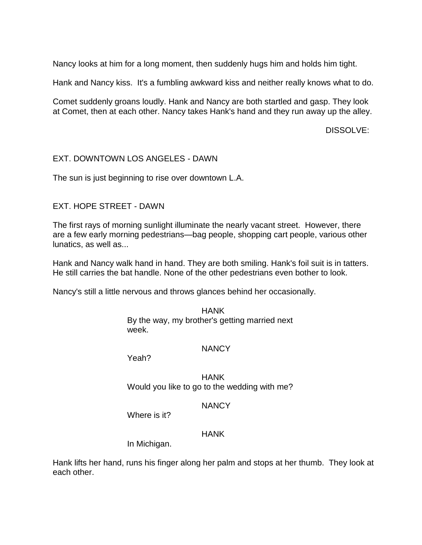Nancy looks at him for a long moment, then suddenly hugs him and holds him tight.

Hank and Nancy kiss. It's a fumbling awkward kiss and neither really knows what to do.

Comet suddenly groans loudly. Hank and Nancy are both startled and gasp. They look at Comet, then at each other. Nancy takes Hank's hand and they run away up the alley.

DISSOLVE:

### EXT. DOWNTOWN LOS ANGELES - DAWN

The sun is just beginning to rise over downtown L.A.

## EXT. HOPE STREET - DAWN

The first rays of morning sunlight illuminate the nearly vacant street. However, there are a few early morning pedestrians—bag people, shopping cart people, various other lunatics, as well as...

Hank and Nancy walk hand in hand. They are both smiling. Hank's foil suit is in tatters. He still carries the bat handle. None of the other pedestrians even bother to look.

Nancy's still a little nervous and throws glances behind her occasionally.

HANK By the way, my brother's getting married next week.

#### **NANCY**

Yeah?

HANK Would you like to go to the wedding with me?

### **NANCY**

Where is it?

### **HANK**

In Michigan.

Hank lifts her hand, runs his finger along her palm and stops at her thumb. They look at each other.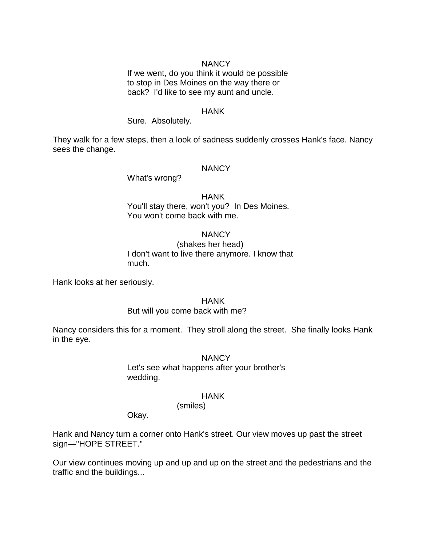#### **NANCY**

If we went, do you think it would be possible to stop in Des Moines on the way there or back? I'd like to see my aunt and uncle.

#### HANK

#### Sure. Absolutely.

They walk for a few steps, then a look of sadness suddenly crosses Hank's face. Nancy sees the change.

#### **NANCY**

What's wrong?

## HANK You'll stay there, won't you? In Des Moines. You won't come back with me.

#### **NANCY**

(shakes her head) I don't want to live there anymore. I know that much.

Hank looks at her seriously.

#### HANK

#### But will you come back with me?

Nancy considers this for a moment. They stroll along the street. She finally looks Hank in the eye.

#### **NANCY**

Let's see what happens after your brother's wedding.

#### HANK

(smiles)

Okay.

Hank and Nancy turn a corner onto Hank's street. Our view moves up past the street sign—"HOPE STREET."

Our view continues moving up and up and up on the street and the pedestrians and the traffic and the buildings...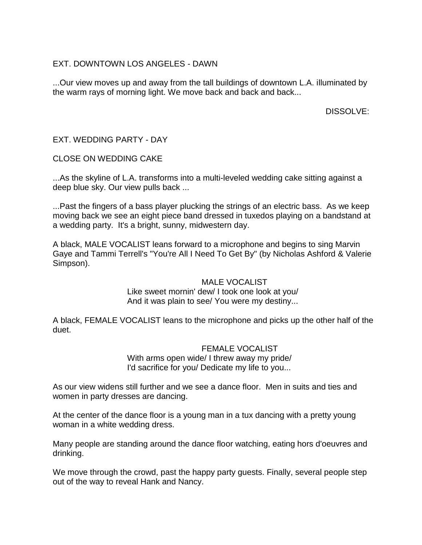# EXT. DOWNTOWN LOS ANGELES - DAWN

...Our view moves up and away from the tall buildings of downtown L.A. illuminated by the warm rays of morning light. We move back and back and back...

DISSOLVE:

# EXT. WEDDING PARTY - DAY

CLOSE ON WEDDING CAKE

...As the skyline of L.A. transforms into a multi-leveled wedding cake sitting against a deep blue sky. Our view pulls back ...

...Past the fingers of a bass player plucking the strings of an electric bass. As we keep moving back we see an eight piece band dressed in tuxedos playing on a bandstand at a wedding party. It's a bright, sunny, midwestern day.

A black, MALE VOCALIST leans forward to a microphone and begins to sing Marvin Gaye and Tammi Terrell's "You're All I Need To Get By" (by Nicholas Ashford & Valerie Simpson).

## MALE VOCALIST

Like sweet mornin' dew/ I took one look at you/ And it was plain to see/ You were my destiny...

A black, FEMALE VOCALIST leans to the microphone and picks up the other half of the duet.

## FEMALE VOCALIST

With arms open wide/ I threw away my pride/ I'd sacrifice for you/ Dedicate my life to you...

As our view widens still further and we see a dance floor. Men in suits and ties and women in party dresses are dancing.

At the center of the dance floor is a young man in a tux dancing with a pretty young woman in a white wedding dress.

Many people are standing around the dance floor watching, eating hors d'oeuvres and drinking.

We move through the crowd, past the happy party guests. Finally, several people step out of the way to reveal Hank and Nancy.